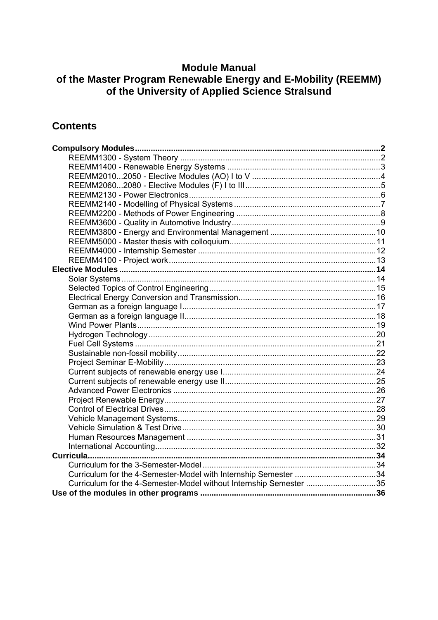# **Module Manual**

# of the Master Program Renewable Energy and E-Mobility (REEMM)<br>of the University of Applied Science Stralsund

# **Contents**

| Curriculum for the 4-Semester-Model with Internship Semester 34    |  |
|--------------------------------------------------------------------|--|
| Curriculum for the 4-Semester-Model without Internship Semester 35 |  |
|                                                                    |  |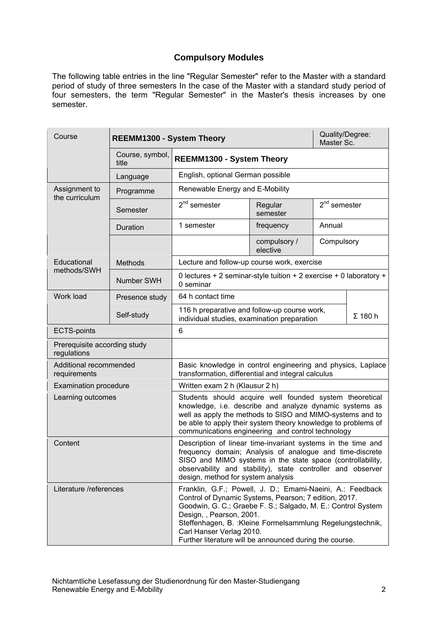## **Compulsory Modules**

<span id="page-1-0"></span>The following table entries in the line "Regular Semester" refer to the Master with a standard period of study of three semesters In the case of the Master with a standard study period of four semesters, the term "Regular Semester" in the Master's thesis increases by one semester.

<span id="page-1-1"></span>

| Course                                      | <b>REEMM1300 - System Theory</b> |                                                                                                                                                                                                                                                                                                                                                                     |                          | Quality/Degree:<br>Master Sc. |                |
|---------------------------------------------|----------------------------------|---------------------------------------------------------------------------------------------------------------------------------------------------------------------------------------------------------------------------------------------------------------------------------------------------------------------------------------------------------------------|--------------------------|-------------------------------|----------------|
|                                             | Course, symbol,<br>title         | <b>REEMM1300 - System Theory</b>                                                                                                                                                                                                                                                                                                                                    |                          |                               |                |
|                                             | Language                         | English, optional German possible                                                                                                                                                                                                                                                                                                                                   |                          |                               |                |
| Assignment to                               | Programme                        | Renewable Energy and E-Mobility                                                                                                                                                                                                                                                                                                                                     |                          |                               |                |
| the curriculum                              | Semester                         | $2nd$ semester                                                                                                                                                                                                                                                                                                                                                      | Regular<br>semester      | $2nd$ semester                |                |
|                                             | Duration                         | 1 semester                                                                                                                                                                                                                                                                                                                                                          | frequency                | Annual                        |                |
|                                             |                                  |                                                                                                                                                                                                                                                                                                                                                                     | compulsory /<br>elective | Compulsory                    |                |
| Educational                                 | Methods                          | Lecture and follow-up course work, exercise                                                                                                                                                                                                                                                                                                                         |                          |                               |                |
| methods/SWH                                 | Number SWH                       | 0 lectures + 2 seminar-style tuition + 2 exercise + 0 laboratory +<br>0 seminar                                                                                                                                                                                                                                                                                     |                          |                               |                |
| Work load                                   | Presence study                   | 64 h contact time                                                                                                                                                                                                                                                                                                                                                   |                          |                               |                |
|                                             | Self-study                       | 116 h preparative and follow-up course work,<br>individual studies, examination preparation                                                                                                                                                                                                                                                                         |                          |                               | $\Sigma$ 180 h |
| <b>ECTS-points</b>                          |                                  | 6                                                                                                                                                                                                                                                                                                                                                                   |                          |                               |                |
| Prerequisite according study<br>regulations |                                  |                                                                                                                                                                                                                                                                                                                                                                     |                          |                               |                |
| Additional recommended<br>requirements      |                                  | Basic knowledge in control engineering and physics, Laplace<br>transformation, differential and integral calculus                                                                                                                                                                                                                                                   |                          |                               |                |
| <b>Examination procedure</b>                |                                  | Written exam 2 h (Klausur 2 h)                                                                                                                                                                                                                                                                                                                                      |                          |                               |                |
| Learning outcomes                           |                                  | Students should acquire well founded system theoretical<br>knowledge, i.e. describe and analyze dynamic systems as<br>well as apply the methods to SISO and MIMO-systems and to<br>be able to apply their system theory knowledge to problems of<br>communications engineering and control technology                                                               |                          |                               |                |
| Content                                     |                                  | Description of linear time-invariant systems in the time and<br>frequency domain; Analysis of analogue and time-discrete<br>SISO and MIMO systems in the state space (controllability,<br>observability and stability), state controller and observer<br>design, method for system analysis                                                                         |                          |                               |                |
| Literature /references                      |                                  | Franklin, G.F.; Powell, J. D.; Emami-Naeini, A.: Feedback<br>Control of Dynamic Systems, Pearson; 7 edition, 2017.<br>Goodwin, G. C.; Graebe F. S.; Salgado, M. E.: Control System<br>Design, , Pearson, 2001.<br>Steffenhagen, B. : Kleine Formelsammlung Regelungstechnik,<br>Carl Hanser Verlag 2010.<br>Further literature will be announced during the course. |                          |                               |                |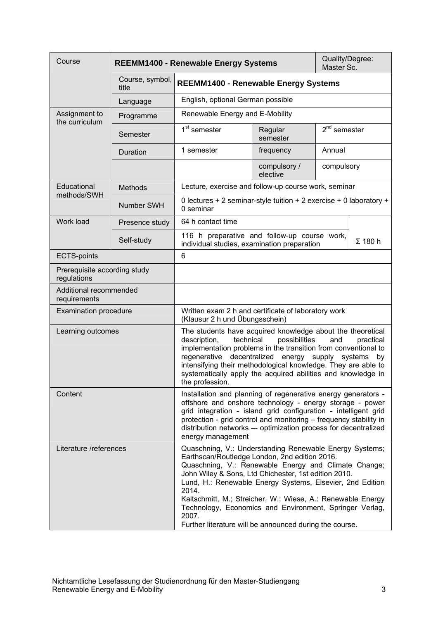<span id="page-2-0"></span>

| Course                                      |                          | <b>REEMM1400 - Renewable Energy Systems</b>                                                                                                                                                                                                                                                                                                                                                                                                                                                  |                          | Quality/Degree:<br>Master Sc. |                |
|---------------------------------------------|--------------------------|----------------------------------------------------------------------------------------------------------------------------------------------------------------------------------------------------------------------------------------------------------------------------------------------------------------------------------------------------------------------------------------------------------------------------------------------------------------------------------------------|--------------------------|-------------------------------|----------------|
|                                             | Course, symbol,<br>title | <b>REEMM1400 - Renewable Energy Systems</b>                                                                                                                                                                                                                                                                                                                                                                                                                                                  |                          |                               |                |
|                                             | Language                 | English, optional German possible                                                                                                                                                                                                                                                                                                                                                                                                                                                            |                          |                               |                |
| Assignment to<br>the curriculum             | Programme                | Renewable Energy and E-Mobility                                                                                                                                                                                                                                                                                                                                                                                                                                                              |                          |                               |                |
|                                             | Semester                 | 1 <sup>st</sup> semester                                                                                                                                                                                                                                                                                                                                                                                                                                                                     | Regular<br>semester      | $2nd$ semester                |                |
|                                             | Duration                 | 1 semester                                                                                                                                                                                                                                                                                                                                                                                                                                                                                   | frequency                | Annual                        |                |
|                                             |                          |                                                                                                                                                                                                                                                                                                                                                                                                                                                                                              | compulsory /<br>elective | compulsory                    |                |
| Educational                                 | <b>Methods</b>           | Lecture, exercise and follow-up course work, seminar                                                                                                                                                                                                                                                                                                                                                                                                                                         |                          |                               |                |
| methods/SWH                                 | Number SWH               | 0 lectures + 2 seminar-style tuition + 2 exercise + 0 laboratory +<br>0 seminar                                                                                                                                                                                                                                                                                                                                                                                                              |                          |                               |                |
| Work load                                   | Presence study           | 64 h contact time                                                                                                                                                                                                                                                                                                                                                                                                                                                                            |                          |                               |                |
|                                             | Self-study               | 116 h preparative and follow-up course work,<br>individual studies, examination preparation                                                                                                                                                                                                                                                                                                                                                                                                  |                          |                               | $\Sigma$ 180 h |
| <b>ECTS-points</b>                          |                          | 6                                                                                                                                                                                                                                                                                                                                                                                                                                                                                            |                          |                               |                |
| Prerequisite according study<br>regulations |                          |                                                                                                                                                                                                                                                                                                                                                                                                                                                                                              |                          |                               |                |
| Additional recommended<br>requirements      |                          |                                                                                                                                                                                                                                                                                                                                                                                                                                                                                              |                          |                               |                |
| <b>Examination procedure</b>                |                          | Written exam 2 h and certificate of laboratory work<br>(Klausur 2 h und Übungsschein)                                                                                                                                                                                                                                                                                                                                                                                                        |                          |                               |                |
| Learning outcomes                           |                          | The students have acquired knowledge about the theoretical<br>possibilities<br>description,<br>technical<br>and<br>practical<br>implementation problems in the transition from conventional to<br>decentralized<br>regenerative<br>energy supply systems<br>by<br>intensifying their methodological knowledge. They are able to<br>systematically apply the acquired abilities and knowledge in<br>the profession.                                                                           |                          |                               |                |
| Content                                     |                          | Installation and planning of regenerative energy generators -<br>offshore and onshore technology - energy storage - power<br>grid integration - island grid configuration - intelligent grid<br>protection - grid control and monitoring - frequency stability in<br>distribution networks -- optimization process for decentralized<br>energy management                                                                                                                                    |                          |                               |                |
| Literature /references                      |                          | Quaschning, V.: Understanding Renewable Energy Systems;<br>Earthscan/Routledge London, 2nd edition 2016.<br>Quaschning, V.: Renewable Energy and Climate Change;<br>John Wiley & Sons, Ltd Chichester, 1st edition 2010.<br>Lund, H.: Renewable Energy Systems, Elsevier, 2nd Edition<br>2014.<br>Kaltschmitt, M.; Streicher, W.; Wiese, A.: Renewable Energy<br>Technology, Economics and Environment, Springer Verlag,<br>2007.<br>Further literature will be announced during the course. |                          |                               |                |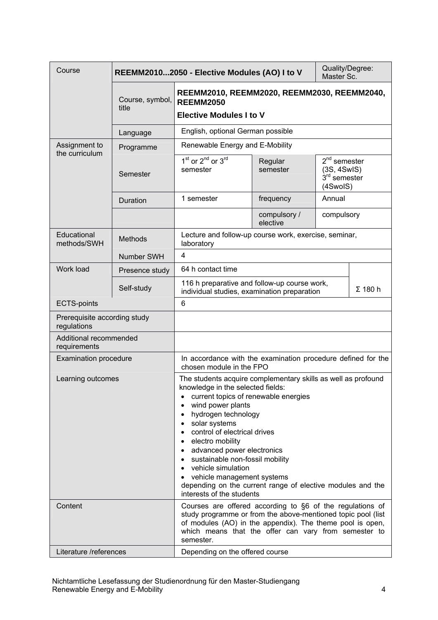<span id="page-3-0"></span>

| Course                                      |                          | Quality/Degree:<br>REEMM20102050 - Elective Modules (AO) I to V<br>Master Sc.                                                                                                                                                                                                                                                                                                                                                                                               |                          |                                                             |
|---------------------------------------------|--------------------------|-----------------------------------------------------------------------------------------------------------------------------------------------------------------------------------------------------------------------------------------------------------------------------------------------------------------------------------------------------------------------------------------------------------------------------------------------------------------------------|--------------------------|-------------------------------------------------------------|
|                                             | Course, symbol,<br>title | REEMM2010, REEMM2020, REEMM2030, REEMM2040,<br><b>REEMM2050</b>                                                                                                                                                                                                                                                                                                                                                                                                             |                          |                                                             |
|                                             |                          | <b>Elective Modules I to V</b>                                                                                                                                                                                                                                                                                                                                                                                                                                              |                          |                                                             |
|                                             | Language                 | English, optional German possible                                                                                                                                                                                                                                                                                                                                                                                                                                           |                          |                                                             |
| Assignment to                               | Programme                | Renewable Energy and E-Mobility                                                                                                                                                                                                                                                                                                                                                                                                                                             |                          |                                                             |
| the curriculum                              | Semester                 | 1 <sup>st</sup> or 2 <sup>nd</sup> or 3 <sup>rd</sup><br>semester                                                                                                                                                                                                                                                                                                                                                                                                           | Regular<br>semester      | $2nd$ semester<br>(3S, 4SwIS)<br>$3rd$ semester<br>(4SwoIS) |
|                                             | Duration                 | 1 semester                                                                                                                                                                                                                                                                                                                                                                                                                                                                  | frequency                | Annual                                                      |
|                                             |                          |                                                                                                                                                                                                                                                                                                                                                                                                                                                                             | compulsory /<br>elective | compulsory                                                  |
| Educational<br>methods/SWH                  | <b>Methods</b>           | Lecture and follow-up course work, exercise, seminar,<br>laboratory                                                                                                                                                                                                                                                                                                                                                                                                         |                          |                                                             |
|                                             | Number SWH               | 4                                                                                                                                                                                                                                                                                                                                                                                                                                                                           |                          |                                                             |
| Work load                                   | Presence study           | 64 h contact time                                                                                                                                                                                                                                                                                                                                                                                                                                                           |                          |                                                             |
|                                             | Self-study               | 116 h preparative and follow-up course work,<br>$\Sigma$ 180 h<br>individual studies, examination preparation                                                                                                                                                                                                                                                                                                                                                               |                          |                                                             |
| <b>ECTS-points</b>                          |                          | 6                                                                                                                                                                                                                                                                                                                                                                                                                                                                           |                          |                                                             |
| Prerequisite according study<br>regulations |                          |                                                                                                                                                                                                                                                                                                                                                                                                                                                                             |                          |                                                             |
| Additional recommended<br>requirements      |                          |                                                                                                                                                                                                                                                                                                                                                                                                                                                                             |                          |                                                             |
| <b>Examination procedure</b>                |                          | In accordance with the examination procedure defined for the<br>chosen module in the FPO                                                                                                                                                                                                                                                                                                                                                                                    |                          |                                                             |
| Learning outcomes                           |                          | The students acquire complementary skills as well as profound<br>knowledge in the selected fields:<br>current topics of renewable energies<br>wind power plants<br>hydrogen technology<br>solar systems<br>control of electrical drives<br>electro mobility<br>advanced power electronics<br>sustainable non-fossil mobility<br>vehicle simulation<br>vehicle management systems<br>depending on the current range of elective modules and the<br>interests of the students |                          |                                                             |
| Content                                     |                          | Courses are offered according to §6 of the regulations of<br>study programme or from the above-mentioned topic pool (list<br>of modules (AO) in the appendix). The theme pool is open,<br>which means that the offer can vary from semester to<br>semester.                                                                                                                                                                                                                 |                          |                                                             |
| Literature /references                      |                          | Depending on the offered course                                                                                                                                                                                                                                                                                                                                                                                                                                             |                          |                                                             |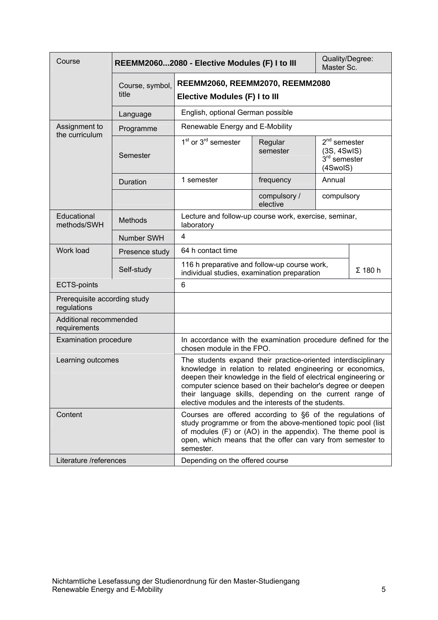<span id="page-4-0"></span>

| Course                                      |                          | REEMM20602080 - Elective Modules (F) I to III                                                                                                                                                                                                                                                                                                                                     |                          | Quality/Degree:<br>Master Sc.                               |                |
|---------------------------------------------|--------------------------|-----------------------------------------------------------------------------------------------------------------------------------------------------------------------------------------------------------------------------------------------------------------------------------------------------------------------------------------------------------------------------------|--------------------------|-------------------------------------------------------------|----------------|
|                                             | Course, symbol,<br>title | REEMM2060, REEMM2070, REEMM2080<br>Elective Modules (F) I to III                                                                                                                                                                                                                                                                                                                  |                          |                                                             |                |
|                                             | Language                 | English, optional German possible                                                                                                                                                                                                                                                                                                                                                 |                          |                                                             |                |
| Assignment to<br>the curriculum             | Programme                | Renewable Energy and E-Mobility                                                                                                                                                                                                                                                                                                                                                   |                          |                                                             |                |
|                                             | Semester                 | 1 <sup>st</sup> or 3 <sup>rd</sup> semester                                                                                                                                                                                                                                                                                                                                       | Regular<br>semester      | $2nd$ semester<br>(3S, 4SwIS)<br>$3rd$ semester<br>(4SwoIS) |                |
|                                             | Duration                 | 1 semester                                                                                                                                                                                                                                                                                                                                                                        | frequency                | Annual                                                      |                |
|                                             |                          |                                                                                                                                                                                                                                                                                                                                                                                   | compulsory /<br>elective | compulsory                                                  |                |
| Educational<br>methods/SWH                  | <b>Methods</b>           | Lecture and follow-up course work, exercise, seminar,<br>laboratory                                                                                                                                                                                                                                                                                                               |                          |                                                             |                |
|                                             | Number SWH               | $\overline{4}$                                                                                                                                                                                                                                                                                                                                                                    |                          |                                                             |                |
| Work load                                   | Presence study           | 64 h contact time                                                                                                                                                                                                                                                                                                                                                                 |                          |                                                             |                |
|                                             | Self-study               | 116 h preparative and follow-up course work,<br>individual studies, examination preparation                                                                                                                                                                                                                                                                                       |                          |                                                             | $\Sigma$ 180 h |
| <b>ECTS-points</b>                          |                          | 6                                                                                                                                                                                                                                                                                                                                                                                 |                          |                                                             |                |
| Prerequisite according study<br>regulations |                          |                                                                                                                                                                                                                                                                                                                                                                                   |                          |                                                             |                |
| Additional recommended<br>requirements      |                          |                                                                                                                                                                                                                                                                                                                                                                                   |                          |                                                             |                |
| <b>Examination procedure</b>                |                          | In accordance with the examination procedure defined for the<br>chosen module in the FPO.                                                                                                                                                                                                                                                                                         |                          |                                                             |                |
| Learning outcomes                           |                          | The students expand their practice-oriented interdisciplinary<br>knowledge in relation to related engineering or economics,<br>deepen their knowledge in the field of electrical engineering or<br>computer science based on their bachelor's degree or deepen<br>their language skills, depending on the current range of<br>elective modules and the interests of the students. |                          |                                                             |                |
| Content                                     |                          | Courses are offered according to §6 of the regulations of<br>study programme or from the above-mentioned topic pool (list<br>of modules (F) or (AO) in the appendix). The theme pool is<br>open, which means that the offer can vary from semester to<br>semester.                                                                                                                |                          |                                                             |                |
| Literature /references                      |                          | Depending on the offered course                                                                                                                                                                                                                                                                                                                                                   |                          |                                                             |                |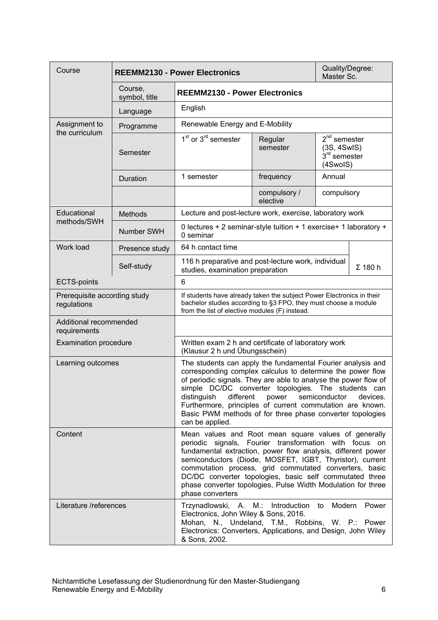<span id="page-5-0"></span>

| Course                                      |                          | <b>REEMM2130 - Power Electronics</b>                                                                                                                                                                                                                                                                                                                                                                                                                         |                          | Quality/Degree:<br>Master Sc.                                     |  |
|---------------------------------------------|--------------------------|--------------------------------------------------------------------------------------------------------------------------------------------------------------------------------------------------------------------------------------------------------------------------------------------------------------------------------------------------------------------------------------------------------------------------------------------------------------|--------------------------|-------------------------------------------------------------------|--|
|                                             | Course,<br>symbol, title | <b>REEMM2130 - Power Electronics</b>                                                                                                                                                                                                                                                                                                                                                                                                                         |                          |                                                                   |  |
|                                             | Language                 | English                                                                                                                                                                                                                                                                                                                                                                                                                                                      |                          |                                                                   |  |
| Assignment to<br>the curriculum             | Programme                | Renewable Energy and E-Mobility                                                                                                                                                                                                                                                                                                                                                                                                                              |                          |                                                                   |  |
|                                             | Semester                 | $1st$ or $3rd$ semester                                                                                                                                                                                                                                                                                                                                                                                                                                      | Regular<br>semester      | $2nd$ semester<br>(3S, 4SwIS)<br>$3rd$ semester<br>(4SwoIS)       |  |
|                                             | Duration                 | 1 semester                                                                                                                                                                                                                                                                                                                                                                                                                                                   | frequency                | Annual                                                            |  |
|                                             |                          |                                                                                                                                                                                                                                                                                                                                                                                                                                                              | compulsory /<br>elective | compulsory                                                        |  |
| Educational<br>methods/SWH                  | <b>Methods</b>           | Lecture and post-lecture work, exercise, laboratory work                                                                                                                                                                                                                                                                                                                                                                                                     |                          |                                                                   |  |
|                                             | <b>Number SWH</b>        | 0 seminar                                                                                                                                                                                                                                                                                                                                                                                                                                                    |                          | 0 lectures + 2 seminar-style tuition + 1 exercise+ 1 laboratory + |  |
| Work load                                   | Presence study           | 64 h contact time                                                                                                                                                                                                                                                                                                                                                                                                                                            |                          |                                                                   |  |
|                                             | Self-study               | 116 h preparative and post-lecture work, individual<br>studies, examination preparation                                                                                                                                                                                                                                                                                                                                                                      |                          | $\Sigma$ 180 h                                                    |  |
| <b>ECTS-points</b>                          |                          | 6                                                                                                                                                                                                                                                                                                                                                                                                                                                            |                          |                                                                   |  |
| Prerequisite according study<br>regulations |                          | If students have already taken the subject Power Electronics in their<br>bachelor studies according to §3 FPO, they must choose a module<br>from the list of elective modules (F) instead.                                                                                                                                                                                                                                                                   |                          |                                                                   |  |
| Additional recommended<br>requirements      |                          |                                                                                                                                                                                                                                                                                                                                                                                                                                                              |                          |                                                                   |  |
| <b>Examination procedure</b>                |                          | Written exam 2 h and certificate of laboratory work<br>(Klausur 2 h und Übungsschein)                                                                                                                                                                                                                                                                                                                                                                        |                          |                                                                   |  |
| Learning outcomes                           |                          | The students can apply the fundamental Fourier analysis and<br>corresponding complex calculus to determine the power flow<br>of periodic signals. They are able to analyse the power flow of<br>simple DC/DC converter topologies. The students can<br>different power semiconductor<br>distinguish<br>devices.<br>Furthermore, principles of current commutation are known.<br>Basic PWM methods of for three phase converter topologies<br>can be applied. |                          |                                                                   |  |
| Content                                     |                          | Mean values and Root mean square values of generally<br>periodic signals, Fourier transformation with focus on<br>fundamental extraction, power flow analysis, different power<br>semiconductors (Diode, MOSFET, IGBT, Thyristor), current<br>commutation process, grid commutated converters, basic<br>DC/DC converter topologies, basic self commutated three<br>phase converter topologies, Pulse Width Modulation for three<br>phase converters          |                          |                                                                   |  |
| Literature /references                      |                          | Trzynadlowski, A. M.: Introduction to Modern<br>Power<br>Electronics, John Wiley & Sons, 2016.<br>Mohan, N., Undeland, T.M., Robbins, W. P.: Power<br>Electronics: Converters, Applications, and Design, John Wiley<br>& Sons, 2002.                                                                                                                                                                                                                         |                          |                                                                   |  |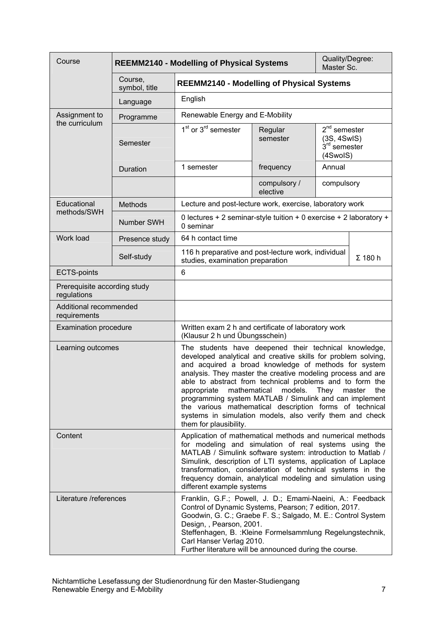<span id="page-6-0"></span>

| Course                                      | <b>REEMM2140 - Modelling of Physical Systems</b> |                                                                                                                                                                                                                                                                                                                                                                                                                                                                                                                                                  |                          | Quality/Degree:<br>Master Sc.                                         |     |
|---------------------------------------------|--------------------------------------------------|--------------------------------------------------------------------------------------------------------------------------------------------------------------------------------------------------------------------------------------------------------------------------------------------------------------------------------------------------------------------------------------------------------------------------------------------------------------------------------------------------------------------------------------------------|--------------------------|-----------------------------------------------------------------------|-----|
|                                             | Course,<br>symbol, title                         | <b>REEMM2140 - Modelling of Physical Systems</b>                                                                                                                                                                                                                                                                                                                                                                                                                                                                                                 |                          |                                                                       |     |
|                                             | Language                                         | English                                                                                                                                                                                                                                                                                                                                                                                                                                                                                                                                          |                          |                                                                       |     |
| Assignment to<br>the curriculum             | Programme                                        | Renewable Energy and E-Mobility                                                                                                                                                                                                                                                                                                                                                                                                                                                                                                                  |                          |                                                                       |     |
|                                             | Semester                                         | 1 <sup>st</sup> or 3 <sup>rd</sup> semester                                                                                                                                                                                                                                                                                                                                                                                                                                                                                                      | Regular<br>semester      | $2nd$ semester<br>(3S, 4SwIS)<br>3 <sup>rd</sup> semester<br>(4SwoIS) |     |
|                                             | Duration                                         | 1 semester                                                                                                                                                                                                                                                                                                                                                                                                                                                                                                                                       | frequency                | Annual                                                                |     |
|                                             |                                                  |                                                                                                                                                                                                                                                                                                                                                                                                                                                                                                                                                  | compulsory /<br>elective | compulsory                                                            |     |
| Educational<br>methods/SWH                  | <b>Methods</b>                                   | Lecture and post-lecture work, exercise, laboratory work                                                                                                                                                                                                                                                                                                                                                                                                                                                                                         |                          |                                                                       |     |
|                                             | Number SWH                                       | 0 lectures + 2 seminar-style tuition + 0 exercise + 2 laboratory +<br>0 seminar                                                                                                                                                                                                                                                                                                                                                                                                                                                                  |                          |                                                                       |     |
| Work load                                   | Presence study                                   | 64 h contact time                                                                                                                                                                                                                                                                                                                                                                                                                                                                                                                                |                          |                                                                       |     |
|                                             | Self-study                                       | 116 h preparative and post-lecture work, individual<br>studies, examination preparation                                                                                                                                                                                                                                                                                                                                                                                                                                                          |                          | $\Sigma$ 180 h                                                        |     |
| <b>ECTS-points</b>                          |                                                  | 6                                                                                                                                                                                                                                                                                                                                                                                                                                                                                                                                                |                          |                                                                       |     |
| Prerequisite according study<br>regulations |                                                  |                                                                                                                                                                                                                                                                                                                                                                                                                                                                                                                                                  |                          |                                                                       |     |
| Additional recommended<br>requirements      |                                                  |                                                                                                                                                                                                                                                                                                                                                                                                                                                                                                                                                  |                          |                                                                       |     |
| <b>Examination procedure</b>                |                                                  | Written exam 2 h and certificate of laboratory work<br>(Klausur 2 h und Übungsschein)                                                                                                                                                                                                                                                                                                                                                                                                                                                            |                          |                                                                       |     |
| Learning outcomes                           |                                                  | The students have deepened their technical knowledge,<br>developed analytical and creative skills for problem solving,<br>and acquired a broad knowledge of methods for system<br>analysis. They master the creative modeling process and are<br>able to abstract from technical problems and to form the<br>appropriate mathematical<br>programming system MATLAB / Simulink and can implement<br>the various mathematical description forms of technical<br>systems in simulation models, also verify them and check<br>them for plausibility. | models.                  | They<br>master                                                        | the |
| Content                                     |                                                  | Application of mathematical methods and numerical methods<br>for modeling and simulation of real systems using the<br>MATLAB / Simulink software system: introduction to Matlab /<br>Simulink, description of LTI systems, application of Laplace<br>transformation, consideration of technical systems in the<br>frequency domain, analytical modeling and simulation using<br>different example systems                                                                                                                                        |                          |                                                                       |     |
| Literature /references                      |                                                  | Franklin, G.F.; Powell, J. D.; Emami-Naeini, A.: Feedback<br>Control of Dynamic Systems, Pearson; 7 edition, 2017.<br>Goodwin, G. C.; Graebe F. S.; Salgado, M. E.: Control System<br>Design, , Pearson, 2001.<br>Steffenhagen, B. : Kleine Formelsammlung Regelungstechnik,<br>Carl Hanser Verlag 2010.<br>Further literature will be announced during the course.                                                                                                                                                                              |                          |                                                                       |     |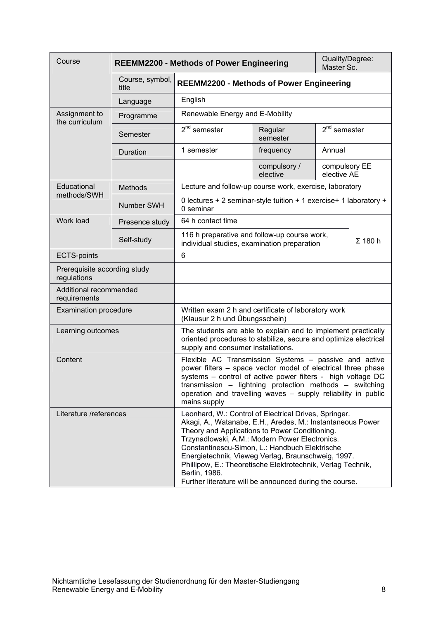<span id="page-7-0"></span>

| Course                                                                                                                                                                                                                                                                                                                                      |                          | <b>REEMM2200 - Methods of Power Engineering</b>                                                                                                                                                                                                                                                                                                                                                                                                                            |                          | Quality/Degree:<br>Master Sc. |                |
|---------------------------------------------------------------------------------------------------------------------------------------------------------------------------------------------------------------------------------------------------------------------------------------------------------------------------------------------|--------------------------|----------------------------------------------------------------------------------------------------------------------------------------------------------------------------------------------------------------------------------------------------------------------------------------------------------------------------------------------------------------------------------------------------------------------------------------------------------------------------|--------------------------|-------------------------------|----------------|
|                                                                                                                                                                                                                                                                                                                                             | Course, symbol,<br>title | <b>REEMM2200 - Methods of Power Engineering</b>                                                                                                                                                                                                                                                                                                                                                                                                                            |                          |                               |                |
|                                                                                                                                                                                                                                                                                                                                             | Language                 | English                                                                                                                                                                                                                                                                                                                                                                                                                                                                    |                          |                               |                |
| Assignment to<br>the curriculum                                                                                                                                                                                                                                                                                                             | Programme                | Renewable Energy and E-Mobility                                                                                                                                                                                                                                                                                                                                                                                                                                            |                          |                               |                |
|                                                                                                                                                                                                                                                                                                                                             | Semester                 | $2nd$ semester                                                                                                                                                                                                                                                                                                                                                                                                                                                             | Regular<br>semester      | $2^{nd}$ semester             |                |
|                                                                                                                                                                                                                                                                                                                                             | Duration                 | 1 semester                                                                                                                                                                                                                                                                                                                                                                                                                                                                 | frequency                | Annual                        |                |
|                                                                                                                                                                                                                                                                                                                                             |                          |                                                                                                                                                                                                                                                                                                                                                                                                                                                                            | compulsory /<br>elective | compulsory EE<br>elective AE  |                |
| Educational                                                                                                                                                                                                                                                                                                                                 | <b>Methods</b>           | Lecture and follow-up course work, exercise, laboratory                                                                                                                                                                                                                                                                                                                                                                                                                    |                          |                               |                |
| methods/SWH                                                                                                                                                                                                                                                                                                                                 | Number SWH               | 0 lectures + 2 seminar-style tuition + 1 exercise+ 1 laboratory +<br>0 seminar                                                                                                                                                                                                                                                                                                                                                                                             |                          |                               |                |
| Work load                                                                                                                                                                                                                                                                                                                                   | Presence study           | 64 h contact time                                                                                                                                                                                                                                                                                                                                                                                                                                                          |                          |                               |                |
|                                                                                                                                                                                                                                                                                                                                             | Self-study               | 116 h preparative and follow-up course work,<br>individual studies, examination preparation                                                                                                                                                                                                                                                                                                                                                                                |                          |                               | $\Sigma$ 180 h |
| <b>ECTS-points</b>                                                                                                                                                                                                                                                                                                                          |                          | 6                                                                                                                                                                                                                                                                                                                                                                                                                                                                          |                          |                               |                |
| Prerequisite according study<br>regulations                                                                                                                                                                                                                                                                                                 |                          |                                                                                                                                                                                                                                                                                                                                                                                                                                                                            |                          |                               |                |
| Additional recommended<br>requirements                                                                                                                                                                                                                                                                                                      |                          |                                                                                                                                                                                                                                                                                                                                                                                                                                                                            |                          |                               |                |
| <b>Examination procedure</b>                                                                                                                                                                                                                                                                                                                |                          | Written exam 2 h and certificate of laboratory work<br>(Klausur 2 h und Übungsschein)                                                                                                                                                                                                                                                                                                                                                                                      |                          |                               |                |
| Learning outcomes                                                                                                                                                                                                                                                                                                                           |                          | The students are able to explain and to implement practically<br>oriented procedures to stabilize, secure and optimize electrical<br>supply and consumer installations.                                                                                                                                                                                                                                                                                                    |                          |                               |                |
| Content<br>Flexible AC Transmission Systems - passive and active<br>power filters - space vector model of electrical three phase<br>systems - control of active power filters - high voltage DC<br>transmission - lightning protection methods - switching<br>operation and travelling waves - supply reliability in public<br>mains supply |                          |                                                                                                                                                                                                                                                                                                                                                                                                                                                                            |                          |                               |                |
| Literature /references                                                                                                                                                                                                                                                                                                                      |                          | Leonhard, W.: Control of Electrical Drives, Springer.<br>Akagi, A., Watanabe, E.H., Aredes, M.: Instantaneous Power<br>Theory and Applications to Power Conditioning.<br>Trzynadlowski, A.M.: Modern Power Electronics.<br>Constantinescu-Simon, L.: Handbuch Elektrische<br>Energietechnik, Vieweg Verlag, Braunschweig, 1997.<br>Phillipow, E.: Theoretische Elektrotechnik, Verlag Technik,<br>Berlin, 1986.<br>Further literature will be announced during the course. |                          |                               |                |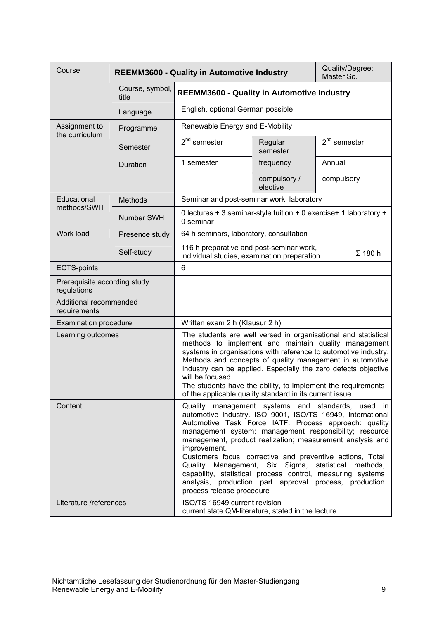<span id="page-8-0"></span>

| Course                                      |                          | <b>REEMM3600 - Quality in Automotive Industry</b>                                                                                                                                                                                                                                                                                                                                                                                                                                                                                                                                           |                          | Quality/Degree:<br>Master Sc. |                |
|---------------------------------------------|--------------------------|---------------------------------------------------------------------------------------------------------------------------------------------------------------------------------------------------------------------------------------------------------------------------------------------------------------------------------------------------------------------------------------------------------------------------------------------------------------------------------------------------------------------------------------------------------------------------------------------|--------------------------|-------------------------------|----------------|
|                                             | Course, symbol,<br>title | <b>REEMM3600 - Quality in Automotive Industry</b>                                                                                                                                                                                                                                                                                                                                                                                                                                                                                                                                           |                          |                               |                |
|                                             | Language                 | English, optional German possible                                                                                                                                                                                                                                                                                                                                                                                                                                                                                                                                                           |                          |                               |                |
| Assignment to<br>the curriculum             | Programme                | Renewable Energy and E-Mobility                                                                                                                                                                                                                                                                                                                                                                                                                                                                                                                                                             |                          |                               |                |
|                                             | Semester                 | $2nd$ semester                                                                                                                                                                                                                                                                                                                                                                                                                                                                                                                                                                              | Regular<br>semester      | $2nd$ semester                |                |
|                                             | Duration                 | 1 semester                                                                                                                                                                                                                                                                                                                                                                                                                                                                                                                                                                                  | frequency                | Annual                        |                |
|                                             |                          |                                                                                                                                                                                                                                                                                                                                                                                                                                                                                                                                                                                             | compulsory /<br>elective | compulsory                    |                |
| Educational                                 | <b>Methods</b>           | Seminar and post-seminar work, laboratory                                                                                                                                                                                                                                                                                                                                                                                                                                                                                                                                                   |                          |                               |                |
| methods/SWH                                 | Number SWH               | 0 lectures + 3 seminar-style tuition + 0 exercise+ 1 laboratory +<br>0 seminar                                                                                                                                                                                                                                                                                                                                                                                                                                                                                                              |                          |                               |                |
| Work load                                   | Presence study           | 64 h seminars, laboratory, consultation                                                                                                                                                                                                                                                                                                                                                                                                                                                                                                                                                     |                          |                               |                |
|                                             | Self-study               | 116 h preparative and post-seminar work,<br>individual studies, examination preparation                                                                                                                                                                                                                                                                                                                                                                                                                                                                                                     |                          |                               | $\Sigma$ 180 h |
| <b>ECTS-points</b>                          |                          | 6                                                                                                                                                                                                                                                                                                                                                                                                                                                                                                                                                                                           |                          |                               |                |
| Prerequisite according study<br>regulations |                          |                                                                                                                                                                                                                                                                                                                                                                                                                                                                                                                                                                                             |                          |                               |                |
| Additional recommended<br>requirements      |                          |                                                                                                                                                                                                                                                                                                                                                                                                                                                                                                                                                                                             |                          |                               |                |
| <b>Examination procedure</b>                |                          | Written exam 2 h (Klausur 2 h)                                                                                                                                                                                                                                                                                                                                                                                                                                                                                                                                                              |                          |                               |                |
| Learning outcomes                           |                          | The students are well versed in organisational and statistical<br>methods to implement and maintain quality management<br>systems in organisations with reference to automotive industry.<br>Methods and concepts of quality management in automotive<br>industry can be applied. Especially the zero defects objective<br>will be focused.<br>The students have the ability, to implement the requirements<br>of the applicable quality standard in its current issue.                                                                                                                     |                          |                               |                |
| Content                                     |                          | Quality management systems and standards, used in<br>automotive industry. ISO 9001, ISO/TS 16949, International<br>Automotive Task Force IATF. Process approach: quality<br>management system; management responsibility; resource<br>management, product realization; measurement analysis and<br>improvement.<br>Customers focus, corrective and preventive actions, Total<br>Quality Management, Six Sigma, statistical<br>methods.<br>capability, statistical process control, measuring systems<br>analysis, production part approval process, production<br>process release procedure |                          |                               |                |
| Literature /references                      |                          | ISO/TS 16949 current revision<br>current state QM-literature, stated in the lecture                                                                                                                                                                                                                                                                                                                                                                                                                                                                                                         |                          |                               |                |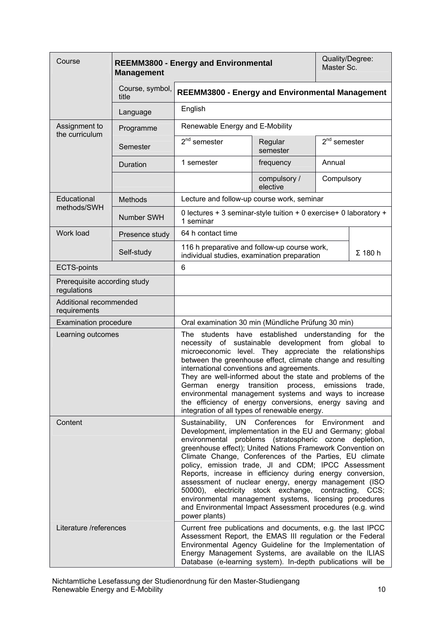<span id="page-9-0"></span>

| Course                                      | <b>Management</b>        | Quality/Degree:<br><b>REEMM3800 - Energy and Environmental</b><br>Master Sc.                                                                                                                                                                                                                                                                                                                                                                                                                                                                                                                                                                                                            |                          |                |                |
|---------------------------------------------|--------------------------|-----------------------------------------------------------------------------------------------------------------------------------------------------------------------------------------------------------------------------------------------------------------------------------------------------------------------------------------------------------------------------------------------------------------------------------------------------------------------------------------------------------------------------------------------------------------------------------------------------------------------------------------------------------------------------------------|--------------------------|----------------|----------------|
|                                             | Course, symbol,<br>title | <b>REEMM3800 - Energy and Environmental Management</b>                                                                                                                                                                                                                                                                                                                                                                                                                                                                                                                                                                                                                                  |                          |                |                |
|                                             | Language                 | English                                                                                                                                                                                                                                                                                                                                                                                                                                                                                                                                                                                                                                                                                 |                          |                |                |
| Assignment to<br>the curriculum             | Programme                | Renewable Energy and E-Mobility                                                                                                                                                                                                                                                                                                                                                                                                                                                                                                                                                                                                                                                         |                          |                |                |
|                                             | Semester                 | 2 <sup>nd</sup> semester                                                                                                                                                                                                                                                                                                                                                                                                                                                                                                                                                                                                                                                                | Regular<br>semester      | $2nd$ semester |                |
|                                             | Duration                 | 1 semester                                                                                                                                                                                                                                                                                                                                                                                                                                                                                                                                                                                                                                                                              | frequency                | Annual         |                |
|                                             |                          |                                                                                                                                                                                                                                                                                                                                                                                                                                                                                                                                                                                                                                                                                         | compulsory /<br>elective | Compulsory     |                |
| Educational                                 | <b>Methods</b>           | Lecture and follow-up course work, seminar                                                                                                                                                                                                                                                                                                                                                                                                                                                                                                                                                                                                                                              |                          |                |                |
| methods/SWH                                 | Number SWH               | 0 lectures + 3 seminar-style tuition + 0 exercise+ 0 laboratory +<br>1 seminar                                                                                                                                                                                                                                                                                                                                                                                                                                                                                                                                                                                                          |                          |                |                |
| Work load                                   | Presence study           | 64 h contact time                                                                                                                                                                                                                                                                                                                                                                                                                                                                                                                                                                                                                                                                       |                          |                |                |
|                                             | Self-study               | 116 h preparative and follow-up course work,<br>individual studies, examination preparation                                                                                                                                                                                                                                                                                                                                                                                                                                                                                                                                                                                             |                          |                | $\Sigma$ 180 h |
| <b>ECTS-points</b>                          |                          | 6                                                                                                                                                                                                                                                                                                                                                                                                                                                                                                                                                                                                                                                                                       |                          |                |                |
| Prerequisite according study<br>regulations |                          |                                                                                                                                                                                                                                                                                                                                                                                                                                                                                                                                                                                                                                                                                         |                          |                |                |
| Additional recommended<br>requirements      |                          |                                                                                                                                                                                                                                                                                                                                                                                                                                                                                                                                                                                                                                                                                         |                          |                |                |
| <b>Examination procedure</b>                |                          | Oral examination 30 min (Mündliche Prüfung 30 min)                                                                                                                                                                                                                                                                                                                                                                                                                                                                                                                                                                                                                                      |                          |                |                |
| Learning outcomes                           |                          | students have established understanding for the<br>The<br>necessity of sustainable development from global<br>to<br>microeconomic level. They appreciate the relationships<br>between the greenhouse effect, climate change and resulting<br>international conventions and agreements.<br>They are well-informed about the state and problems of the<br>energy transition process,<br>German<br>emissions<br>trade,<br>environmental management systems and ways to increase<br>the efficiency of energy conversions, energy saving and<br>integration of all types of renewable energy.                                                                                                |                          |                |                |
| Content                                     |                          | Sustainability, UN Conferences for Environment<br>and<br>Development, implementation in the EU and Germany; global<br>environmental problems (stratospheric ozone depletion,<br>greenhouse effect); United Nations Framework Convention on<br>Climate Change, Conferences of the Parties, EU climate<br>policy, emission trade, JI and CDM; IPCC Assessment<br>Reports, increase in efficiency during energy conversion,<br>assessment of nuclear energy, energy management (ISO<br>electricity stock exchange, contracting,<br>50000),<br>CCS:<br>environmental management systems, licensing procedures<br>and Environmental Impact Assessment procedures (e.g. wind<br>power plants) |                          |                |                |
| Literature /references                      |                          | Current free publications and documents, e.g. the last IPCC<br>Assessment Report, the EMAS III regulation or the Federal<br>Environmental Agency Guideline for the Implementation of<br>Energy Management Systems, are available on the ILIAS<br>Database (e-learning system). In-depth publications will be                                                                                                                                                                                                                                                                                                                                                                            |                          |                |                |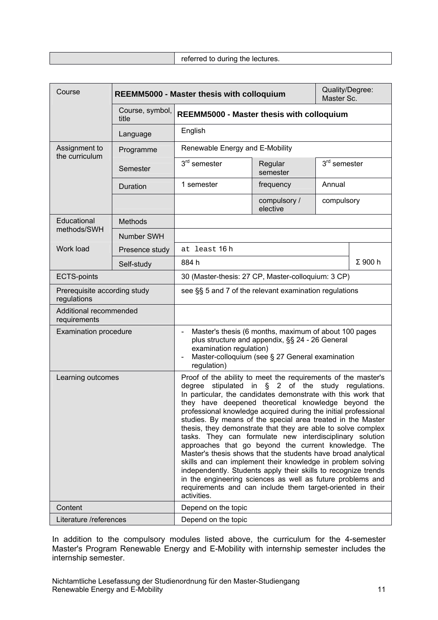<span id="page-10-0"></span>

| Course                                      |                          | Quality/Degree:<br><b>REEMM5000 - Master thesis with colloquium</b><br>Master Sc.                                                                                                                                                                                                                                                                                                                                                                                                                                                                                                                                                                                                                                                                                                                                                                                                                                       |                          |                |                |
|---------------------------------------------|--------------------------|-------------------------------------------------------------------------------------------------------------------------------------------------------------------------------------------------------------------------------------------------------------------------------------------------------------------------------------------------------------------------------------------------------------------------------------------------------------------------------------------------------------------------------------------------------------------------------------------------------------------------------------------------------------------------------------------------------------------------------------------------------------------------------------------------------------------------------------------------------------------------------------------------------------------------|--------------------------|----------------|----------------|
|                                             | Course, symbol,<br>title | <b>REEMM5000 - Master thesis with colloquium</b>                                                                                                                                                                                                                                                                                                                                                                                                                                                                                                                                                                                                                                                                                                                                                                                                                                                                        |                          |                |                |
|                                             | Language                 | English                                                                                                                                                                                                                                                                                                                                                                                                                                                                                                                                                                                                                                                                                                                                                                                                                                                                                                                 |                          |                |                |
| Assignment to<br>the curriculum             | Programme                | Renewable Energy and E-Mobility                                                                                                                                                                                                                                                                                                                                                                                                                                                                                                                                                                                                                                                                                                                                                                                                                                                                                         |                          |                |                |
|                                             | Semester                 | $3rd$ semester                                                                                                                                                                                                                                                                                                                                                                                                                                                                                                                                                                                                                                                                                                                                                                                                                                                                                                          | Regular<br>semester      | $3rd$ semester |                |
|                                             | Duration                 | 1 semester                                                                                                                                                                                                                                                                                                                                                                                                                                                                                                                                                                                                                                                                                                                                                                                                                                                                                                              | frequency                | Annual         |                |
|                                             |                          |                                                                                                                                                                                                                                                                                                                                                                                                                                                                                                                                                                                                                                                                                                                                                                                                                                                                                                                         | compulsory /<br>elective | compulsory     |                |
| Educational<br>methods/SWH                  | Methods                  |                                                                                                                                                                                                                                                                                                                                                                                                                                                                                                                                                                                                                                                                                                                                                                                                                                                                                                                         |                          |                |                |
|                                             | Number SWH               |                                                                                                                                                                                                                                                                                                                                                                                                                                                                                                                                                                                                                                                                                                                                                                                                                                                                                                                         |                          |                |                |
| Work load                                   | Presence study           | at least 16h                                                                                                                                                                                                                                                                                                                                                                                                                                                                                                                                                                                                                                                                                                                                                                                                                                                                                                            |                          |                |                |
|                                             | Self-study               | 884 h                                                                                                                                                                                                                                                                                                                                                                                                                                                                                                                                                                                                                                                                                                                                                                                                                                                                                                                   |                          |                | $\Sigma$ 900 h |
| <b>ECTS-points</b>                          |                          | 30 (Master-thesis: 27 CP, Master-colloquium: 3 CP)                                                                                                                                                                                                                                                                                                                                                                                                                                                                                                                                                                                                                                                                                                                                                                                                                                                                      |                          |                |                |
| Prerequisite according study<br>regulations |                          | see §§ 5 and 7 of the relevant examination regulations                                                                                                                                                                                                                                                                                                                                                                                                                                                                                                                                                                                                                                                                                                                                                                                                                                                                  |                          |                |                |
| Additional recommended<br>requirements      |                          |                                                                                                                                                                                                                                                                                                                                                                                                                                                                                                                                                                                                                                                                                                                                                                                                                                                                                                                         |                          |                |                |
| <b>Examination procedure</b>                |                          | Master's thesis (6 months, maximum of about 100 pages<br>$\overline{\phantom{a}}$<br>plus structure and appendix, §§ 24 - 26 General<br>examination regulation)<br>Master-colloquium (see § 27 General examination<br>regulation)                                                                                                                                                                                                                                                                                                                                                                                                                                                                                                                                                                                                                                                                                       |                          |                |                |
| Learning outcomes                           |                          | Proof of the ability to meet the requirements of the master's<br>stipulated in §<br>2 of the<br>degree<br>study regulations.<br>In particular, the candidates demonstrate with this work that<br>they have deepened theoretical knowledge beyond the<br>professional knowledge acquired during the initial professional<br>studies. By means of the special area treated in the Master<br>thesis, they demonstrate that they are able to solve complex<br>tasks. They can formulate new interdisciplinary solution<br>approaches that go beyond the current knowledge. The<br>Master's thesis shows that the students have broad analytical<br>skills and can implement their knowledge in problem solving<br>independently. Students apply their skills to recognize trends<br>in the engineering sciences as well as future problems and<br>requirements and can include them target-oriented in their<br>activities. |                          |                |                |
| Content                                     |                          | Depend on the topic                                                                                                                                                                                                                                                                                                                                                                                                                                                                                                                                                                                                                                                                                                                                                                                                                                                                                                     |                          |                |                |
| Literature /references                      |                          | Depend on the topic                                                                                                                                                                                                                                                                                                                                                                                                                                                                                                                                                                                                                                                                                                                                                                                                                                                                                                     |                          |                |                |

In addition to the compulsory modules listed above, the curriculum for the 4-semester Master's Program Renewable Energy and E-Mobility with internship semester includes the internship semester.

Nichtamtliche Lesefassung der Studienordnung für den Master-Studiengang Renewable Energy and E-Mobility 11 and the United States of the United States 11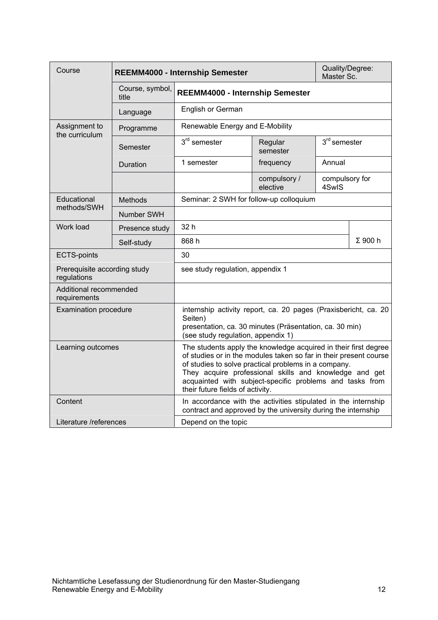<span id="page-11-0"></span>

| Course                                      |                          | <b>REEMM4000 - Internship Semester</b>                                                                                                                                                                                                                                                                                                                 |                          | Quality/Degree:<br>Master Sc. |                |
|---------------------------------------------|--------------------------|--------------------------------------------------------------------------------------------------------------------------------------------------------------------------------------------------------------------------------------------------------------------------------------------------------------------------------------------------------|--------------------------|-------------------------------|----------------|
|                                             | Course, symbol,<br>title | REEMM4000 - Internship Semester                                                                                                                                                                                                                                                                                                                        |                          |                               |                |
|                                             | Language                 | English or German                                                                                                                                                                                                                                                                                                                                      |                          |                               |                |
| Assignment to<br>the curriculum             | Programme                | Renewable Energy and E-Mobility                                                                                                                                                                                                                                                                                                                        |                          |                               |                |
|                                             | Semester                 | $3rd$ semester                                                                                                                                                                                                                                                                                                                                         | Regular<br>semester      | $3rd$ semester                |                |
|                                             | Duration                 | 1 semester                                                                                                                                                                                                                                                                                                                                             | frequency                | Annual                        |                |
|                                             |                          |                                                                                                                                                                                                                                                                                                                                                        | compulsory /<br>elective | compulsory for<br>4SwIS       |                |
| Educational<br>methods/SWH                  | <b>Methods</b>           | Seminar: 2 SWH for follow-up colloquium                                                                                                                                                                                                                                                                                                                |                          |                               |                |
|                                             | <b>Number SWH</b>        |                                                                                                                                                                                                                                                                                                                                                        |                          |                               |                |
| Work load                                   | Presence study           | 32h                                                                                                                                                                                                                                                                                                                                                    |                          |                               |                |
|                                             | Self-study               | 868h                                                                                                                                                                                                                                                                                                                                                   |                          |                               | $\Sigma$ 900 h |
| <b>ECTS-points</b>                          |                          | 30                                                                                                                                                                                                                                                                                                                                                     |                          |                               |                |
| Prerequisite according study<br>regulations |                          | see study regulation, appendix 1                                                                                                                                                                                                                                                                                                                       |                          |                               |                |
| Additional recommended<br>requirements      |                          |                                                                                                                                                                                                                                                                                                                                                        |                          |                               |                |
| <b>Examination procedure</b>                |                          | internship activity report, ca. 20 pages (Praxisbericht, ca. 20<br>Seiten)<br>presentation, ca. 30 minutes (Präsentation, ca. 30 min)<br>(see study regulation, appendix 1)                                                                                                                                                                            |                          |                               |                |
| Learning outcomes                           |                          | The students apply the knowledge acquired in their first degree<br>of studies or in the modules taken so far in their present course<br>of studies to solve practical problems in a company.<br>They acquire professional skills and knowledge and get<br>acquainted with subject-specific problems and tasks from<br>their future fields of activity. |                          |                               |                |
| Content                                     |                          | In accordance with the activities stipulated in the internship<br>contract and approved by the university during the internship                                                                                                                                                                                                                        |                          |                               |                |
| Literature /references                      |                          | Depend on the topic                                                                                                                                                                                                                                                                                                                                    |                          |                               |                |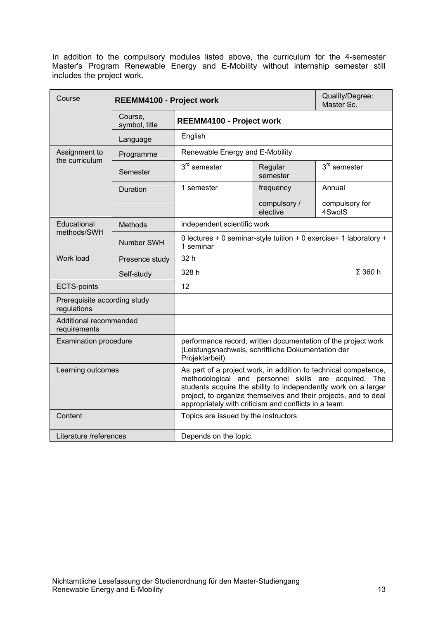In addition to the compulsory modules listed above, the curriculum for the 4-semester Master's Program Renewable Energy and E-Mobility without internship semester still includes the project work.

<span id="page-12-0"></span>

| Course                                      | REEMM4100 - Project work |                                                                                                                                                                                                                                                                                                                        |                          |                          | Quality/Degree:<br>Master Sc. |  |
|---------------------------------------------|--------------------------|------------------------------------------------------------------------------------------------------------------------------------------------------------------------------------------------------------------------------------------------------------------------------------------------------------------------|--------------------------|--------------------------|-------------------------------|--|
|                                             | Course,<br>symbol, title | REEMM4100 - Project work                                                                                                                                                                                                                                                                                               |                          |                          |                               |  |
|                                             | Language                 | English                                                                                                                                                                                                                                                                                                                |                          |                          |                               |  |
| Assignment to<br>the curriculum             | Programme                | Renewable Energy and E-Mobility                                                                                                                                                                                                                                                                                        |                          |                          |                               |  |
|                                             | Semester                 | $3rd$ semester                                                                                                                                                                                                                                                                                                         | Regular<br>semester      | $3rd$ semester           |                               |  |
|                                             | Duration                 | 1 semester                                                                                                                                                                                                                                                                                                             | frequency                | Annual                   |                               |  |
|                                             |                          |                                                                                                                                                                                                                                                                                                                        | compulsory /<br>elective | compulsory for<br>4SwoIS |                               |  |
| Educational                                 | <b>Methods</b>           | independent scientific work                                                                                                                                                                                                                                                                                            |                          |                          |                               |  |
| methods/SWH                                 | Number SWH               | 0 lectures + 0 seminar-style tuition + 0 exercise+ 1 laboratory +<br>1 seminar                                                                                                                                                                                                                                         |                          |                          |                               |  |
| Work load                                   | Presence study           | 32h                                                                                                                                                                                                                                                                                                                    |                          |                          |                               |  |
|                                             | Self-study               | 328 h                                                                                                                                                                                                                                                                                                                  |                          |                          | $\Sigma$ 360 h                |  |
| <b>ECTS-points</b>                          |                          | 12                                                                                                                                                                                                                                                                                                                     |                          |                          |                               |  |
| Prerequisite according study<br>regulations |                          |                                                                                                                                                                                                                                                                                                                        |                          |                          |                               |  |
| Additional recommended<br>requirements      |                          |                                                                                                                                                                                                                                                                                                                        |                          |                          |                               |  |
| <b>Examination procedure</b>                |                          | performance record, written documentation of the project work<br>(Leistungsnachweis, schriftliche Dokumentation der<br>Projektarbeit)                                                                                                                                                                                  |                          |                          |                               |  |
| Learning outcomes                           |                          | As part of a project work, in addition to technical competence,<br>methodological and personnel skills are acquired. The<br>students acquire the ability to independently work on a larger<br>project, to organize themselves and their projects, and to deal<br>appropriately with criticism and conflicts in a team. |                          |                          |                               |  |
| Content                                     |                          | Topics are issued by the instructors                                                                                                                                                                                                                                                                                   |                          |                          |                               |  |
| Literature /references                      |                          | Depends on the topic.                                                                                                                                                                                                                                                                                                  |                          |                          |                               |  |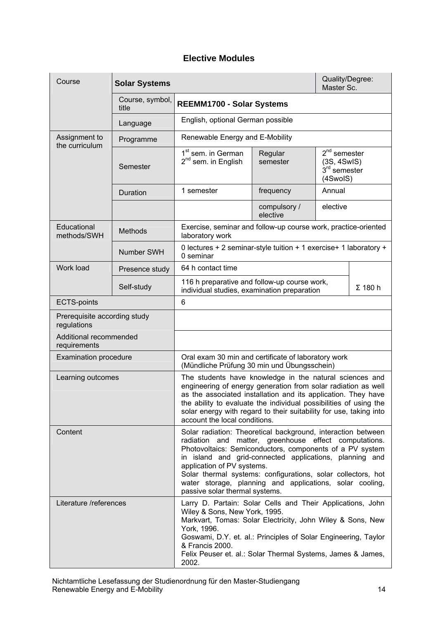# **Elective Modules**

<span id="page-13-1"></span><span id="page-13-0"></span>

| Course                                      | <b>Solar Systems</b>     | Quality/Degree:<br>Master Sc.                                                                                                                                                                                                                                                                                                                                                                                                            |                          |                                                             |                |
|---------------------------------------------|--------------------------|------------------------------------------------------------------------------------------------------------------------------------------------------------------------------------------------------------------------------------------------------------------------------------------------------------------------------------------------------------------------------------------------------------------------------------------|--------------------------|-------------------------------------------------------------|----------------|
|                                             | Course, symbol,<br>title | REEMM1700 - Solar Systems                                                                                                                                                                                                                                                                                                                                                                                                                |                          |                                                             |                |
|                                             | Language                 | English, optional German possible                                                                                                                                                                                                                                                                                                                                                                                                        |                          |                                                             |                |
| Assignment to<br>the curriculum             | Programme                | Renewable Energy and E-Mobility                                                                                                                                                                                                                                                                                                                                                                                                          |                          |                                                             |                |
|                                             | Semester                 | 1 <sup>st</sup> sem. in German<br>$2^{nd}$ sem. in English                                                                                                                                                                                                                                                                                                                                                                               | Regular<br>semester      | $2nd$ semester<br>(3S, 4SwIS)<br>$3rd$ semester<br>(4SwoIS) |                |
|                                             | Duration                 | 1 semester                                                                                                                                                                                                                                                                                                                                                                                                                               | frequency                | Annual                                                      |                |
|                                             |                          |                                                                                                                                                                                                                                                                                                                                                                                                                                          | compulsory /<br>elective | elective                                                    |                |
| Educational<br>methods/SWH                  | Methods                  | Exercise, seminar and follow-up course work, practice-oriented<br>laboratory work                                                                                                                                                                                                                                                                                                                                                        |                          |                                                             |                |
|                                             | Number SWH               | 0 lectures + 2 seminar-style tuition + 1 exercise+ 1 laboratory +<br>0 seminar                                                                                                                                                                                                                                                                                                                                                           |                          |                                                             |                |
| Work load                                   | Presence study           | 64 h contact time                                                                                                                                                                                                                                                                                                                                                                                                                        |                          |                                                             |                |
|                                             | Self-study               | 116 h preparative and follow-up course work,<br>individual studies, examination preparation                                                                                                                                                                                                                                                                                                                                              |                          |                                                             | $\Sigma$ 180 h |
| <b>ECTS-points</b>                          |                          | 6                                                                                                                                                                                                                                                                                                                                                                                                                                        |                          |                                                             |                |
| Prerequisite according study<br>regulations |                          |                                                                                                                                                                                                                                                                                                                                                                                                                                          |                          |                                                             |                |
| Additional recommended<br>requirements      |                          |                                                                                                                                                                                                                                                                                                                                                                                                                                          |                          |                                                             |                |
| <b>Examination procedure</b>                |                          | Oral exam 30 min and certificate of laboratory work<br>(Mündliche Prüfung 30 min und Übungsschein)                                                                                                                                                                                                                                                                                                                                       |                          |                                                             |                |
| Learning outcomes                           |                          | The students have knowledge in the natural sciences and<br>engineering of energy generation from solar radiation as well<br>as the associated installation and its application. They have<br>the ability to evaluate the individual possibilities of using the<br>solar energy with regard to their suitability for use, taking into<br>account the local conditions.                                                                    |                          |                                                             |                |
| Content                                     |                          | Solar radiation: Theoretical background, interaction between<br>radiation and matter, greenhouse effect computations.<br>Photovoltaics: Semiconductors, components of a PV system<br>in island and grid-connected applications, planning and<br>application of PV systems.<br>Solar thermal systems: configurations, solar collectors, hot<br>water storage, planning and applications, solar cooling,<br>passive solar thermal systems. |                          |                                                             |                |
| Literature /references                      |                          | Larry D. Partain: Solar Cells and Their Applications, John<br>Wiley & Sons, New York, 1995.<br>Markvart, Tomas: Solar Electricity, John Wiley & Sons, New<br>York, 1996.<br>Goswami, D.Y. et. al.: Principles of Solar Engineering, Taylor<br>& Francis 2000.<br>Felix Peuser et. al.: Solar Thermal Systems, James & James,<br>2002.                                                                                                    |                          |                                                             |                |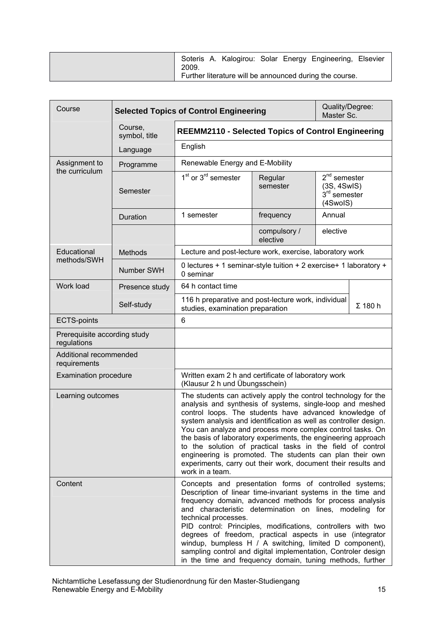| Soteris A. Kalogirou: Solar Energy Engineering, Elsevier<br>2009. |
|-------------------------------------------------------------------|
| Further literature will be announced during the course.           |

<span id="page-14-0"></span>

| Course                                      |                          | Quality/Degree:<br><b>Selected Topics of Control Engineering</b><br>Master Sc.                                                                                                                                                                                                                                                                                                                                                                                                                                                                                                                         |                          |                                                                   |  |
|---------------------------------------------|--------------------------|--------------------------------------------------------------------------------------------------------------------------------------------------------------------------------------------------------------------------------------------------------------------------------------------------------------------------------------------------------------------------------------------------------------------------------------------------------------------------------------------------------------------------------------------------------------------------------------------------------|--------------------------|-------------------------------------------------------------------|--|
|                                             | Course,<br>symbol, title | <b>REEMM2110 - Selected Topics of Control Engineering</b>                                                                                                                                                                                                                                                                                                                                                                                                                                                                                                                                              |                          |                                                                   |  |
|                                             | Language                 | English                                                                                                                                                                                                                                                                                                                                                                                                                                                                                                                                                                                                |                          |                                                                   |  |
| Assignment to<br>the curriculum             | Programme                | Renewable Energy and E-Mobility                                                                                                                                                                                                                                                                                                                                                                                                                                                                                                                                                                        |                          |                                                                   |  |
|                                             | Semester                 | $1st$ or $3rd$ semester                                                                                                                                                                                                                                                                                                                                                                                                                                                                                                                                                                                | Regular<br>semester      | $2nd$ semester<br>(3S, 4SwIS)<br>$3rd$ semester<br>(4SwoIS)       |  |
|                                             | Duration                 | 1 semester                                                                                                                                                                                                                                                                                                                                                                                                                                                                                                                                                                                             | frequency                | Annual                                                            |  |
|                                             |                          |                                                                                                                                                                                                                                                                                                                                                                                                                                                                                                                                                                                                        | compulsory /<br>elective | elective                                                          |  |
| Educational                                 | <b>Methods</b>           | Lecture and post-lecture work, exercise, laboratory work                                                                                                                                                                                                                                                                                                                                                                                                                                                                                                                                               |                          |                                                                   |  |
| methods/SWH                                 | Number SWH               | 0 seminar                                                                                                                                                                                                                                                                                                                                                                                                                                                                                                                                                                                              |                          | 0 lectures + 1 seminar-style tuition + 2 exercise+ 1 laboratory + |  |
| Work load                                   | Presence study           | 64 h contact time                                                                                                                                                                                                                                                                                                                                                                                                                                                                                                                                                                                      |                          |                                                                   |  |
|                                             | Self-study               | 116 h preparative and post-lecture work, individual<br>$\Sigma$ 180 h<br>studies, examination preparation                                                                                                                                                                                                                                                                                                                                                                                                                                                                                              |                          |                                                                   |  |
| <b>ECTS-points</b>                          |                          | 6                                                                                                                                                                                                                                                                                                                                                                                                                                                                                                                                                                                                      |                          |                                                                   |  |
| Prerequisite according study<br>regulations |                          |                                                                                                                                                                                                                                                                                                                                                                                                                                                                                                                                                                                                        |                          |                                                                   |  |
| Additional recommended<br>requirements      |                          |                                                                                                                                                                                                                                                                                                                                                                                                                                                                                                                                                                                                        |                          |                                                                   |  |
| <b>Examination procedure</b>                |                          | Written exam 2 h and certificate of laboratory work<br>(Klausur 2 h und Übungsschein)                                                                                                                                                                                                                                                                                                                                                                                                                                                                                                                  |                          |                                                                   |  |
| Learning outcomes                           |                          | The students can actively apply the control technology for the<br>analysis and synthesis of systems, single-loop and meshed<br>control loops. The students have advanced knowledge of<br>system analysis and identification as well as controller design.<br>You can analyze and process more complex control tasks. On<br>the basis of laboratory experiments, the engineering approach<br>to the solution of practical tasks in the field of control<br>engineering is promoted. The students can plan their own<br>experiments, carry out their work, document their results and<br>work in a team. |                          |                                                                   |  |
| Content                                     |                          | Concepts and presentation forms of controlled systems;<br>Description of linear time-invariant systems in the time and<br>frequency domain, advanced methods for process analysis<br>and characteristic determination on lines, modeling for<br>technical processes.<br>PID control: Principles, modifications, controllers with two<br>degrees of freedom, practical aspects in use (integrator<br>windup, bumpless H / A switching, limited D component),<br>sampling control and digital implementation, Controler design<br>in the time and frequency domain, tuning methods, further              |                          |                                                                   |  |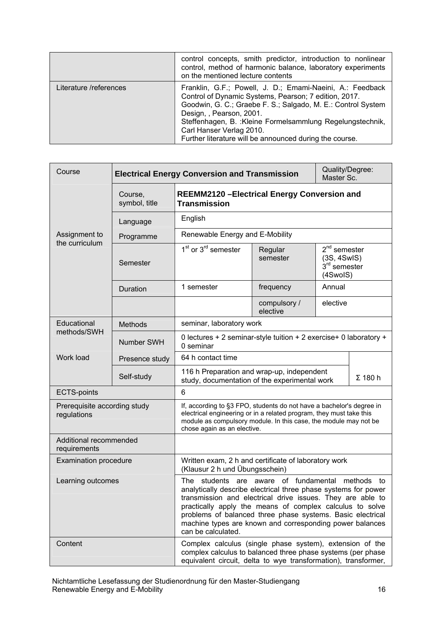|                        | control concepts, smith predictor, introduction to nonlinear<br>control, method of harmonic balance, laboratory experiments<br>on the mentioned lecture contents                                                                                                                                                                                                    |
|------------------------|---------------------------------------------------------------------------------------------------------------------------------------------------------------------------------------------------------------------------------------------------------------------------------------------------------------------------------------------------------------------|
| Literature /references | Franklin, G.F.; Powell, J. D.; Emami-Naeini, A.: Feedback<br>Control of Dynamic Systems, Pearson; 7 edition, 2017.<br>Goodwin, G. C.; Graebe F. S.; Salgado, M. E.: Control System<br>Design, , Pearson, 2001.<br>Steffenhagen, B. : Kleine Formelsammlung Regelungstechnik,<br>Carl Hanser Verlag 2010.<br>Further literature will be announced during the course. |

<span id="page-15-0"></span>

| Course                                      |                                              | Quality/Degree:<br><b>Electrical Energy Conversion and Transmission</b><br>Master Sc.                                                                                                                                                                                                                                                                                                              |                          |                                                                       |  |
|---------------------------------------------|----------------------------------------------|----------------------------------------------------------------------------------------------------------------------------------------------------------------------------------------------------------------------------------------------------------------------------------------------------------------------------------------------------------------------------------------------------|--------------------------|-----------------------------------------------------------------------|--|
|                                             | Course,<br>symbol, title                     | <b>REEMM2120 - Electrical Energy Conversion and</b><br><b>Transmission</b>                                                                                                                                                                                                                                                                                                                         |                          |                                                                       |  |
|                                             | Language                                     | English                                                                                                                                                                                                                                                                                                                                                                                            |                          |                                                                       |  |
| Assignment to                               | Renewable Energy and E-Mobility<br>Programme |                                                                                                                                                                                                                                                                                                                                                                                                    |                          |                                                                       |  |
| the curriculum                              | Semester                                     | 1 <sup>st</sup> or 3 <sup>rd</sup> semester                                                                                                                                                                                                                                                                                                                                                        | Regular<br>semester      | $2nd$ semester<br>(3S, 4SwIS)<br>3 <sup>rd</sup> semester<br>(4SwoIS) |  |
|                                             | Duration                                     | 1 semester                                                                                                                                                                                                                                                                                                                                                                                         | frequency                | Annual                                                                |  |
|                                             |                                              |                                                                                                                                                                                                                                                                                                                                                                                                    | compulsory /<br>elective | elective                                                              |  |
| Educational                                 | Methods                                      | seminar, laboratory work<br>0 lectures + 2 seminar-style tuition + 2 exercise+ 0 laboratory +<br>0 seminar                                                                                                                                                                                                                                                                                         |                          |                                                                       |  |
| methods/SWH                                 | Number SWH                                   |                                                                                                                                                                                                                                                                                                                                                                                                    |                          |                                                                       |  |
| Work load                                   | Presence study                               | 64 h contact time<br>116 h Preparation and wrap-up, independent<br>$\Sigma$ 180 h<br>study, documentation of the experimental work                                                                                                                                                                                                                                                                 |                          |                                                                       |  |
|                                             | Self-study                                   |                                                                                                                                                                                                                                                                                                                                                                                                    |                          |                                                                       |  |
| <b>ECTS-points</b>                          |                                              | $6\phantom{1}$                                                                                                                                                                                                                                                                                                                                                                                     |                          |                                                                       |  |
| Prerequisite according study<br>regulations |                                              | If, according to §3 FPO, students do not have a bachelor's degree in<br>electrical engineering or in a related program, they must take this<br>module as compulsory module. In this case, the module may not be<br>chose again as an elective.                                                                                                                                                     |                          |                                                                       |  |
| Additional recommended<br>requirements      |                                              |                                                                                                                                                                                                                                                                                                                                                                                                    |                          |                                                                       |  |
| <b>Examination procedure</b>                |                                              | Written exam, 2 h and certificate of laboratory work<br>(Klausur 2 h und Übungsschein)                                                                                                                                                                                                                                                                                                             |                          |                                                                       |  |
| Learning outcomes                           |                                              | are aware of fundamental<br>The students<br>methods to<br>analytically describe electrical three phase systems for power<br>transmission and electrical drive issues. They are able to<br>practically apply the means of complex calculus to solve<br>problems of balanced three phase systems. Basic electrical<br>machine types are known and corresponding power balances<br>can be calculated. |                          |                                                                       |  |
| Content                                     |                                              | Complex calculus (single phase system), extension of the<br>complex calculus to balanced three phase systems (per phase<br>equivalent circuit, delta to wye transformation), transformer,                                                                                                                                                                                                          |                          |                                                                       |  |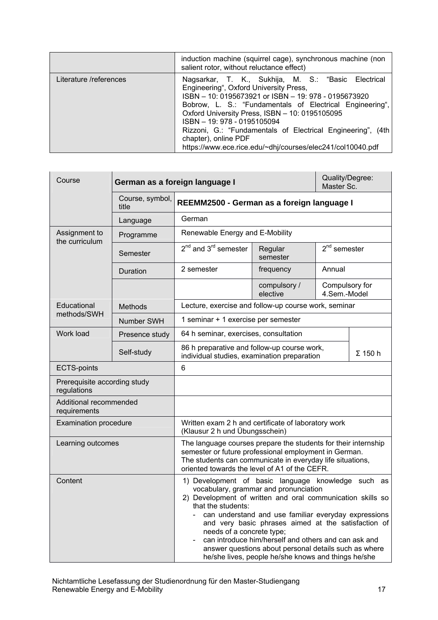|                        | induction machine (squirrel cage), synchronous machine (non<br>salient rotor, without reluctance effect)                                                                                                                                                                                                                                                                                                                                                |  |  |  |  |
|------------------------|---------------------------------------------------------------------------------------------------------------------------------------------------------------------------------------------------------------------------------------------------------------------------------------------------------------------------------------------------------------------------------------------------------------------------------------------------------|--|--|--|--|
| Literature /references | Nagsarkar, T. K., Sukhija, M. S.: "Basic Electrical<br>Engineering", Oxford University Press,<br>ISBN - 10: 0195673921 or ISBN - 19: 978 - 0195673920<br>Bobrow, L. S.: "Fundamentals of Electrical Engineering",<br>Oxford University Press, ISBN - 10: 0195105095<br>ISBN - 19: 978 - 0195105094<br>Rizzoni, G.: "Fundamentals of Electrical Engineering", (4th<br>chapter), online PDF<br>https://www.ece.rice.edu/~dhj/courses/elec241/col10040.pdf |  |  |  |  |

<span id="page-16-0"></span>

| Course                                                                                                                                                                                                                                                                                                                                                                                                                                                                                                         |                                                                                                                                                                                                                                       | German as a foreign language I<br>Master Sc.                                                                                        |                          |                                | Quality/Degree: |
|----------------------------------------------------------------------------------------------------------------------------------------------------------------------------------------------------------------------------------------------------------------------------------------------------------------------------------------------------------------------------------------------------------------------------------------------------------------------------------------------------------------|---------------------------------------------------------------------------------------------------------------------------------------------------------------------------------------------------------------------------------------|-------------------------------------------------------------------------------------------------------------------------------------|--------------------------|--------------------------------|-----------------|
|                                                                                                                                                                                                                                                                                                                                                                                                                                                                                                                | Course, symbol,<br>title                                                                                                                                                                                                              | REEMM2500 - German as a foreign language I                                                                                          |                          |                                |                 |
|                                                                                                                                                                                                                                                                                                                                                                                                                                                                                                                | Language                                                                                                                                                                                                                              | German                                                                                                                              |                          |                                |                 |
| Assignment to<br>the curriculum                                                                                                                                                                                                                                                                                                                                                                                                                                                                                | Programme                                                                                                                                                                                                                             | Renewable Energy and E-Mobility                                                                                                     |                          |                                |                 |
|                                                                                                                                                                                                                                                                                                                                                                                                                                                                                                                | Semester                                                                                                                                                                                                                              | $2^{nd}$ and $3^{rd}$ semester                                                                                                      | Regular<br>semester      | $2nd$ semester                 |                 |
|                                                                                                                                                                                                                                                                                                                                                                                                                                                                                                                | Duration                                                                                                                                                                                                                              | 2 semester                                                                                                                          | frequency                | Annual                         |                 |
|                                                                                                                                                                                                                                                                                                                                                                                                                                                                                                                |                                                                                                                                                                                                                                       |                                                                                                                                     | compulsory /<br>elective | Compulsory for<br>4.Sem.-Model |                 |
| Educational                                                                                                                                                                                                                                                                                                                                                                                                                                                                                                    | <b>Methods</b>                                                                                                                                                                                                                        | Lecture, exercise and follow-up course work, seminar                                                                                |                          |                                |                 |
| methods/SWH                                                                                                                                                                                                                                                                                                                                                                                                                                                                                                    | Number SWH                                                                                                                                                                                                                            | 1 seminar + 1 exercise per semester                                                                                                 |                          |                                |                 |
| Work load                                                                                                                                                                                                                                                                                                                                                                                                                                                                                                      | Presence study                                                                                                                                                                                                                        | 64 h seminar, exercises, consultation<br>86 h preparative and follow-up course work,<br>individual studies, examination preparation |                          |                                |                 |
|                                                                                                                                                                                                                                                                                                                                                                                                                                                                                                                | Self-study                                                                                                                                                                                                                            |                                                                                                                                     |                          | $\Sigma$ 150 h                 |                 |
| <b>ECTS-points</b>                                                                                                                                                                                                                                                                                                                                                                                                                                                                                             |                                                                                                                                                                                                                                       | $6\phantom{1}$                                                                                                                      |                          |                                |                 |
| Prerequisite according study<br>regulations                                                                                                                                                                                                                                                                                                                                                                                                                                                                    |                                                                                                                                                                                                                                       |                                                                                                                                     |                          |                                |                 |
| Additional recommended<br>requirements                                                                                                                                                                                                                                                                                                                                                                                                                                                                         |                                                                                                                                                                                                                                       |                                                                                                                                     |                          |                                |                 |
| <b>Examination procedure</b>                                                                                                                                                                                                                                                                                                                                                                                                                                                                                   |                                                                                                                                                                                                                                       | Written exam 2 h and certificate of laboratory work<br>(Klausur 2 h und Übungsschein)                                               |                          |                                |                 |
| Learning outcomes                                                                                                                                                                                                                                                                                                                                                                                                                                                                                              | The language courses prepare the students for their internship<br>semester or future professional employment in German.<br>The students can communicate in everyday life situations,<br>oriented towards the level of A1 of the CEFR. |                                                                                                                                     |                          |                                |                 |
| Content<br>1) Development of basic language knowledge such as<br>vocabulary, grammar and pronunciation<br>2) Development of written and oral communication skills so<br>that the students:<br>can understand and use familiar everyday expressions<br>and very basic phrases aimed at the satisfaction of<br>needs of a concrete type;<br>can introduce him/herself and others and can ask and<br>answer questions about personal details such as where<br>he/she lives, people he/she knows and things he/she |                                                                                                                                                                                                                                       |                                                                                                                                     |                          |                                |                 |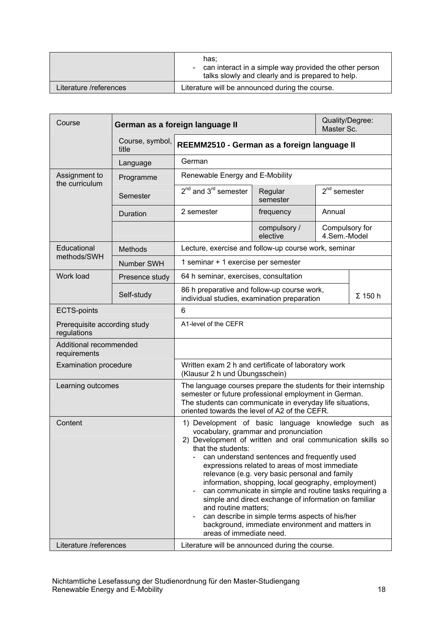|                        | has:<br>- can interact in a simple way provided the other person<br>talks slowly and clearly and is prepared to help. |
|------------------------|-----------------------------------------------------------------------------------------------------------------------|
| Literature /references | Literature will be announced during the course.                                                                       |

<span id="page-17-0"></span>

| Course                                                                    |                              | German as a foreign language II                                                                                                                                                                                                                                                                                                                                                                                                                                                                                                                                                                                                                                                     |                          | Quality/Degree:<br>Master Sc.  |                |  |
|---------------------------------------------------------------------------|------------------------------|-------------------------------------------------------------------------------------------------------------------------------------------------------------------------------------------------------------------------------------------------------------------------------------------------------------------------------------------------------------------------------------------------------------------------------------------------------------------------------------------------------------------------------------------------------------------------------------------------------------------------------------------------------------------------------------|--------------------------|--------------------------------|----------------|--|
|                                                                           | Course, symbol,<br>title     | REEMM2510 - German as a foreign language II                                                                                                                                                                                                                                                                                                                                                                                                                                                                                                                                                                                                                                         |                          |                                |                |  |
|                                                                           | Language                     | German                                                                                                                                                                                                                                                                                                                                                                                                                                                                                                                                                                                                                                                                              |                          |                                |                |  |
| Assignment to<br>the curriculum                                           | Programme                    | Renewable Energy and E-Mobility                                                                                                                                                                                                                                                                                                                                                                                                                                                                                                                                                                                                                                                     |                          |                                |                |  |
|                                                                           | Semester                     | $2^{nd}$ and $3^{rd}$ semester                                                                                                                                                                                                                                                                                                                                                                                                                                                                                                                                                                                                                                                      | Regular<br>semester      | $2nd$ semester                 |                |  |
|                                                                           | Duration                     | 2 semester                                                                                                                                                                                                                                                                                                                                                                                                                                                                                                                                                                                                                                                                          | frequency                | Annual                         |                |  |
|                                                                           |                              |                                                                                                                                                                                                                                                                                                                                                                                                                                                                                                                                                                                                                                                                                     | compulsory /<br>elective | Compulsory for<br>4.Sem.-Model |                |  |
| Educational                                                               | <b>Methods</b>               | Lecture, exercise and follow-up course work, seminar                                                                                                                                                                                                                                                                                                                                                                                                                                                                                                                                                                                                                                |                          |                                |                |  |
| methods/SWH                                                               | Number SWH                   | 1 seminar + 1 exercise per semester                                                                                                                                                                                                                                                                                                                                                                                                                                                                                                                                                                                                                                                 |                          |                                |                |  |
| Work load                                                                 | Presence study               | 64 h seminar, exercises, consultation                                                                                                                                                                                                                                                                                                                                                                                                                                                                                                                                                                                                                                               |                          |                                |                |  |
|                                                                           | Self-study                   | 86 h preparative and follow-up course work,<br>individual studies, examination preparation                                                                                                                                                                                                                                                                                                                                                                                                                                                                                                                                                                                          |                          |                                | $\Sigma$ 150 h |  |
| <b>ECTS-points</b>                                                        |                              | 6                                                                                                                                                                                                                                                                                                                                                                                                                                                                                                                                                                                                                                                                                   |                          |                                |                |  |
| regulations                                                               | Prerequisite according study |                                                                                                                                                                                                                                                                                                                                                                                                                                                                                                                                                                                                                                                                                     | A1-level of the CEFR     |                                |                |  |
| Additional recommended<br>requirements                                    |                              |                                                                                                                                                                                                                                                                                                                                                                                                                                                                                                                                                                                                                                                                                     |                          |                                |                |  |
| <b>Examination procedure</b>                                              |                              | Written exam 2 h and certificate of laboratory work<br>(Klausur 2 h und Übungsschein)                                                                                                                                                                                                                                                                                                                                                                                                                                                                                                                                                                                               |                          |                                |                |  |
| Learning outcomes                                                         |                              | The language courses prepare the students for their internship<br>semester or future professional employment in German.<br>The students can communicate in everyday life situations,<br>oriented towards the level of A2 of the CEFR.                                                                                                                                                                                                                                                                                                                                                                                                                                               |                          |                                |                |  |
| Content                                                                   |                              | 1) Development of basic language knowledge such as<br>vocabulary, grammar and pronunciation<br>2) Development of written and oral communication skills so<br>that the students:<br>can understand sentences and frequently used<br>$\sim$<br>expressions related to areas of most immediate<br>relevance (e.g. very basic personal and family<br>information, shopping, local geography, employment)<br>can communicate in simple and routine tasks requiring a<br>simple and direct exchange of information on familiar<br>and routine matters;<br>can describe in simple terms aspects of his/her<br>background, immediate environment and matters in<br>areas of immediate need. |                          |                                |                |  |
| Literature /references<br>Literature will be announced during the course. |                              |                                                                                                                                                                                                                                                                                                                                                                                                                                                                                                                                                                                                                                                                                     |                          |                                |                |  |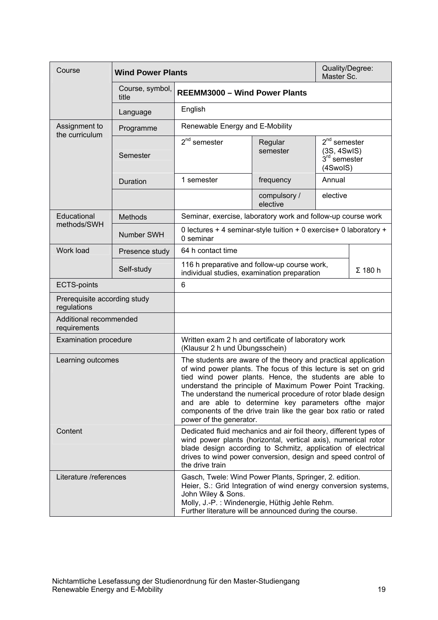<span id="page-18-0"></span>

| Course                                      | <b>Wind Power Plants</b> |                                                                                                                                                                                                                                                                                                                                                                                                                                                                               |                          | Quality/Degree:<br>Master Sc.                               |  |  |
|---------------------------------------------|--------------------------|-------------------------------------------------------------------------------------------------------------------------------------------------------------------------------------------------------------------------------------------------------------------------------------------------------------------------------------------------------------------------------------------------------------------------------------------------------------------------------|--------------------------|-------------------------------------------------------------|--|--|
|                                             | Course, symbol,<br>title | <b>REEMM3000 - Wind Power Plants</b>                                                                                                                                                                                                                                                                                                                                                                                                                                          |                          |                                                             |  |  |
|                                             | Language                 | English                                                                                                                                                                                                                                                                                                                                                                                                                                                                       |                          |                                                             |  |  |
| Assignment to<br>the curriculum             | Programme                | Renewable Energy and E-Mobility                                                                                                                                                                                                                                                                                                                                                                                                                                               |                          |                                                             |  |  |
|                                             | Semester                 | $2nd$ semester                                                                                                                                                                                                                                                                                                                                                                                                                                                                | Regular<br>semester      | $2nd$ semester<br>(3S, 4SwIS)<br>$3rd$ semester<br>(4SwoIS) |  |  |
|                                             | Duration                 | 1 semester                                                                                                                                                                                                                                                                                                                                                                                                                                                                    | frequency                | Annual                                                      |  |  |
|                                             |                          |                                                                                                                                                                                                                                                                                                                                                                                                                                                                               | compulsory /<br>elective | elective                                                    |  |  |
| Educational<br>methods/SWH                  | <b>Methods</b>           | Seminar, exercise, laboratory work and follow-up course work                                                                                                                                                                                                                                                                                                                                                                                                                  |                          |                                                             |  |  |
|                                             | Number SWH               | 0 lectures + 4 seminar-style tuition + 0 exercise+ 0 laboratory +<br>0 seminar                                                                                                                                                                                                                                                                                                                                                                                                |                          |                                                             |  |  |
| Work load                                   | Presence study           | 64 h contact time                                                                                                                                                                                                                                                                                                                                                                                                                                                             |                          |                                                             |  |  |
|                                             | Self-study               | 116 h preparative and follow-up course work,<br>$\Sigma$ 180 h<br>individual studies, examination preparation                                                                                                                                                                                                                                                                                                                                                                 |                          |                                                             |  |  |
| <b>ECTS-points</b>                          |                          |                                                                                                                                                                                                                                                                                                                                                                                                                                                                               | 6                        |                                                             |  |  |
| Prerequisite according study<br>regulations |                          |                                                                                                                                                                                                                                                                                                                                                                                                                                                                               |                          |                                                             |  |  |
| Additional recommended<br>requirements      |                          |                                                                                                                                                                                                                                                                                                                                                                                                                                                                               |                          |                                                             |  |  |
| <b>Examination procedure</b>                |                          | Written exam 2 h and certificate of laboratory work<br>(Klausur 2 h und Übungsschein)                                                                                                                                                                                                                                                                                                                                                                                         |                          |                                                             |  |  |
| Learning outcomes                           |                          | The students are aware of the theory and practical application<br>of wind power plants. The focus of this lecture is set on grid<br>tied wind power plants. Hence, the students are able to<br>understand the principle of Maximum Power Point Tracking.<br>The understand the numerical procedure of rotor blade design<br>and are able to determine key parameters ofthe major<br>components of the drive train like the gear box ratio or rated<br>power of the generator. |                          |                                                             |  |  |
| Content                                     |                          | Dedicated fluid mechanics and air foil theory, different types of<br>wind power plants (horizontal, vertical axis), numerical rotor<br>blade design according to Schmitz, application of electrical<br>drives to wind power conversion, design and speed control of<br>the drive train                                                                                                                                                                                        |                          |                                                             |  |  |
| Literature /references                      |                          | Gasch, Twele: Wind Power Plants, Springer, 2. edition.<br>Heier, S.: Grid Integration of wind energy conversion systems,<br>John Wiley & Sons.<br>Molly, J.-P.: Windenergie, Hüthig Jehle Rehm.<br>Further literature will be announced during the course.                                                                                                                                                                                                                    |                          |                                                             |  |  |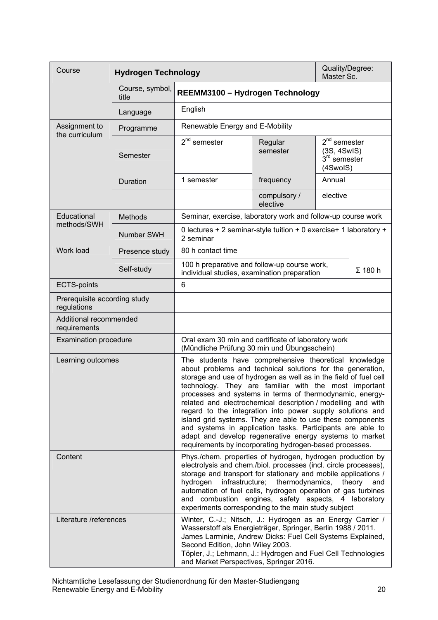<span id="page-19-0"></span>

| Course                                      | <b>Hydrogen Technology</b> |                                                                                                                                                                                                                                                                                                                                                                                                                                                                                                                                                                                                                                                                                             |                          | Quality/Degree:<br>Master Sc.                                         |                |  |
|---------------------------------------------|----------------------------|---------------------------------------------------------------------------------------------------------------------------------------------------------------------------------------------------------------------------------------------------------------------------------------------------------------------------------------------------------------------------------------------------------------------------------------------------------------------------------------------------------------------------------------------------------------------------------------------------------------------------------------------------------------------------------------------|--------------------------|-----------------------------------------------------------------------|----------------|--|
|                                             | Course, symbol,<br>title   | REEMM3100 - Hydrogen Technology                                                                                                                                                                                                                                                                                                                                                                                                                                                                                                                                                                                                                                                             |                          |                                                                       |                |  |
|                                             | Language                   | English                                                                                                                                                                                                                                                                                                                                                                                                                                                                                                                                                                                                                                                                                     |                          |                                                                       |                |  |
| Assignment to<br>the curriculum             | Programme                  | Renewable Energy and E-Mobility                                                                                                                                                                                                                                                                                                                                                                                                                                                                                                                                                                                                                                                             |                          |                                                                       |                |  |
|                                             | Semester                   | $2nd$ semester                                                                                                                                                                                                                                                                                                                                                                                                                                                                                                                                                                                                                                                                              | Regular<br>semester      | $2nd$ semester<br>(3S, 4SwIS)<br>3 <sup>rd</sup> semester<br>(4SwoIS) |                |  |
|                                             | Duration                   | 1 semester                                                                                                                                                                                                                                                                                                                                                                                                                                                                                                                                                                                                                                                                                  | frequency                | Annual                                                                |                |  |
|                                             |                            |                                                                                                                                                                                                                                                                                                                                                                                                                                                                                                                                                                                                                                                                                             | compulsory /<br>elective | elective                                                              |                |  |
| Educational                                 | <b>Methods</b>             | Seminar, exercise, laboratory work and follow-up course work                                                                                                                                                                                                                                                                                                                                                                                                                                                                                                                                                                                                                                |                          |                                                                       |                |  |
| methods/SWH                                 | Number SWH                 | 0 lectures + 2 seminar-style tuition + 0 exercise+ 1 laboratory +<br>2 seminar                                                                                                                                                                                                                                                                                                                                                                                                                                                                                                                                                                                                              |                          |                                                                       |                |  |
| Work load                                   | Presence study             | 80 h contact time                                                                                                                                                                                                                                                                                                                                                                                                                                                                                                                                                                                                                                                                           |                          |                                                                       |                |  |
|                                             | Self-study                 | 100 h preparative and follow-up course work,<br>individual studies, examination preparation                                                                                                                                                                                                                                                                                                                                                                                                                                                                                                                                                                                                 |                          |                                                                       | $\Sigma$ 180 h |  |
| <b>ECTS-points</b>                          |                            | 6                                                                                                                                                                                                                                                                                                                                                                                                                                                                                                                                                                                                                                                                                           |                          |                                                                       |                |  |
| Prerequisite according study<br>regulations |                            |                                                                                                                                                                                                                                                                                                                                                                                                                                                                                                                                                                                                                                                                                             |                          |                                                                       |                |  |
| Additional recommended<br>requirements      |                            |                                                                                                                                                                                                                                                                                                                                                                                                                                                                                                                                                                                                                                                                                             |                          |                                                                       |                |  |
| <b>Examination procedure</b>                |                            | Oral exam 30 min and certificate of laboratory work<br>(Mündliche Prüfung 30 min und Übungsschein)                                                                                                                                                                                                                                                                                                                                                                                                                                                                                                                                                                                          |                          |                                                                       |                |  |
| Learning outcomes                           |                            | The students have comprehensive theoretical knowledge<br>about problems and technical solutions for the generation,<br>storage and use of hydrogen as well as in the field of fuel cell<br>technology. They are familiar with the most important<br>processes and systems in terms of thermodynamic, energy-<br>related and electrochemical description / modelling and with<br>regard to the integration into power supply solutions and<br>island grid systems. They are able to use these components<br>and systems in application tasks. Participants are able to<br>adapt and develop regenerative energy systems to market<br>requirements by incorporating hydrogen-based processes. |                          |                                                                       |                |  |
| Content                                     |                            | Phys./chem. properties of hydrogen, hydrogen production by<br>electrolysis and chem./biol. processes (incl. circle processes),<br>storage and transport for stationary and mobile applications /<br>infrastructure; thermodynamics,<br>hydrogen<br>theory<br>and<br>automation of fuel cells, hydrogen operation of gas turbines<br>and combustion engines, safety aspects, 4 laboratory<br>experiments corresponding to the main study subject                                                                                                                                                                                                                                             |                          |                                                                       |                |  |
| Literature /references                      |                            | Winter, C.-J.; Nitsch, J.: Hydrogen as an Energy Carrier /<br>Wasserstoff als Energieträger, Springer, Berlin 1988 / 2011.<br>James Larminie, Andrew Dicks: Fuel Cell Systems Explained,<br>Second Edition, John Wiley 2003.<br>Töpler, J.; Lehmann, J.: Hydrogen and Fuel Cell Technologies<br>and Market Perspectives, Springer 2016.                                                                                                                                                                                                                                                                                                                                                     |                          |                                                                       |                |  |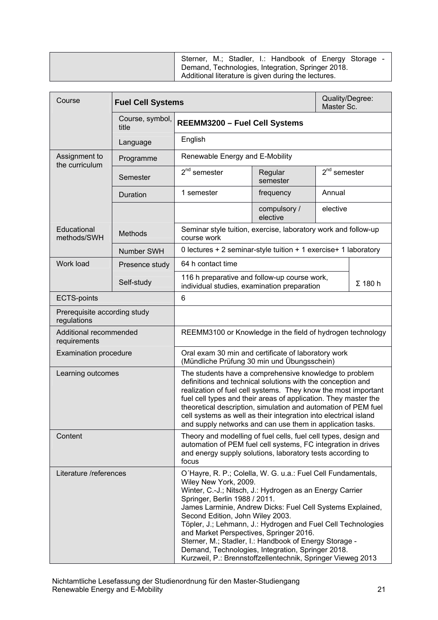| Sterner, M.; Stadler, I.: Handbook of Energy Storage -<br>Demand, Technologies, Integration, Springer 2018.<br>Additional literature is given during the lectures. |
|--------------------------------------------------------------------------------------------------------------------------------------------------------------------|
|--------------------------------------------------------------------------------------------------------------------------------------------------------------------|

<span id="page-20-0"></span>

| Course                                      | Quality/Degree:<br><b>Fuel Cell Systems</b><br>Master Sc. |                                                                                                                                                                                                                                                                                                                                                                                                                                                                                                                                                                               |                          |                |  |
|---------------------------------------------|-----------------------------------------------------------|-------------------------------------------------------------------------------------------------------------------------------------------------------------------------------------------------------------------------------------------------------------------------------------------------------------------------------------------------------------------------------------------------------------------------------------------------------------------------------------------------------------------------------------------------------------------------------|--------------------------|----------------|--|
|                                             | Course, symbol,<br>title                                  | REEMM3200 - Fuel Cell Systems                                                                                                                                                                                                                                                                                                                                                                                                                                                                                                                                                 |                          |                |  |
|                                             | Language                                                  | English                                                                                                                                                                                                                                                                                                                                                                                                                                                                                                                                                                       |                          |                |  |
| Assignment to<br>the curriculum             | Programme                                                 | Renewable Energy and E-Mobility                                                                                                                                                                                                                                                                                                                                                                                                                                                                                                                                               |                          |                |  |
|                                             | Semester                                                  | $2nd$ semester                                                                                                                                                                                                                                                                                                                                                                                                                                                                                                                                                                | Regular<br>semester      | $2nd$ semester |  |
|                                             | Duration                                                  | 1 semester                                                                                                                                                                                                                                                                                                                                                                                                                                                                                                                                                                    | frequency                | Annual         |  |
|                                             |                                                           |                                                                                                                                                                                                                                                                                                                                                                                                                                                                                                                                                                               | compulsory /<br>elective | elective       |  |
| Educational<br>methods/SWH                  | <b>Methods</b>                                            | Seminar style tuition, exercise, laboratory work and follow-up<br>course work                                                                                                                                                                                                                                                                                                                                                                                                                                                                                                 |                          |                |  |
|                                             | <b>Number SWH</b>                                         | 0 lectures + 2 seminar-style tuition + 1 exercise+ 1 laboratory                                                                                                                                                                                                                                                                                                                                                                                                                                                                                                               |                          |                |  |
| Work load                                   | Presence study                                            | 64 h contact time                                                                                                                                                                                                                                                                                                                                                                                                                                                                                                                                                             |                          |                |  |
|                                             | Self-study                                                | 116 h preparative and follow-up course work,<br>individual studies, examination preparation                                                                                                                                                                                                                                                                                                                                                                                                                                                                                   |                          | $\Sigma$ 180 h |  |
| <b>ECTS-points</b>                          |                                                           | 6                                                                                                                                                                                                                                                                                                                                                                                                                                                                                                                                                                             |                          |                |  |
| Prerequisite according study<br>regulations |                                                           |                                                                                                                                                                                                                                                                                                                                                                                                                                                                                                                                                                               |                          |                |  |
| Additional recommended<br>requirements      |                                                           | REEMM3100 or Knowledge in the field of hydrogen technology                                                                                                                                                                                                                                                                                                                                                                                                                                                                                                                    |                          |                |  |
| <b>Examination procedure</b>                |                                                           | Oral exam 30 min and certificate of laboratory work<br>(Mündliche Prüfung 30 min und Übungsschein)                                                                                                                                                                                                                                                                                                                                                                                                                                                                            |                          |                |  |
| Learning outcomes                           |                                                           | The students have a comprehensive knowledge to problem<br>definitions and technical solutions with the conception and<br>realization of fuel cell systems. They know the most important<br>fuel cell types and their areas of application. They master the<br>theoretical description, simulation and automation of PEM fuel<br>cell systems as well as their integration into electrical island<br>and supply networks and can use them in application tasks.                                                                                                                |                          |                |  |
| Content                                     |                                                           | Theory and modelling of fuel cells, fuel cell types, design and<br>automation of PEM fuel cell systems, FC integration in drives<br>and energy supply solutions, laboratory tests according to<br>focus                                                                                                                                                                                                                                                                                                                                                                       |                          |                |  |
| Literature /references                      |                                                           | O'Hayre, R. P.; Colella, W. G. u.a.: Fuel Cell Fundamentals,<br>Wiley New York, 2009.<br>Winter, C.-J.; Nitsch, J.: Hydrogen as an Energy Carrier<br>Springer, Berlin 1988 / 2011.<br>James Larminie, Andrew Dicks: Fuel Cell Systems Explained,<br>Second Edition, John Wiley 2003.<br>Töpler, J.; Lehmann, J.: Hydrogen and Fuel Cell Technologies<br>and Market Perspectives, Springer 2016.<br>Sterner, M.; Stadler, I.: Handbook of Energy Storage -<br>Demand, Technologies, Integration, Springer 2018.<br>Kurzweil, P.: Brennstoffzellentechnik, Springer Vieweg 2013 |                          |                |  |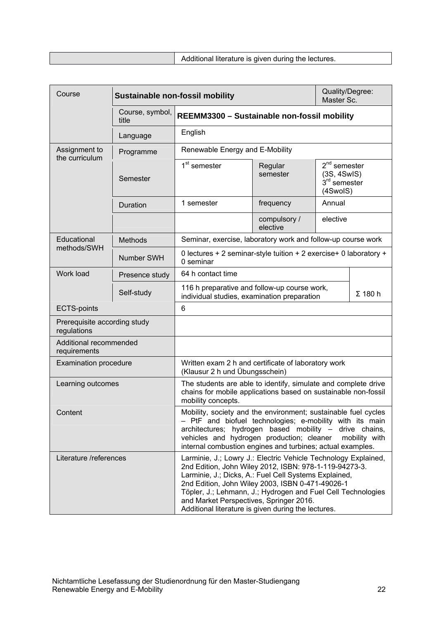<span id="page-21-0"></span>

| Course                                      |                          | Quality/Degree:<br><b>Sustainable non-fossil mobility</b><br>Master Sc.                                                                                                                                                                                                                                                                                                                                 |                          |                                                                       |                |
|---------------------------------------------|--------------------------|---------------------------------------------------------------------------------------------------------------------------------------------------------------------------------------------------------------------------------------------------------------------------------------------------------------------------------------------------------------------------------------------------------|--------------------------|-----------------------------------------------------------------------|----------------|
|                                             | Course, symbol,<br>title | REEMM3300 - Sustainable non-fossil mobility                                                                                                                                                                                                                                                                                                                                                             |                          |                                                                       |                |
|                                             | Language                 | English                                                                                                                                                                                                                                                                                                                                                                                                 |                          |                                                                       |                |
| Assignment to<br>the curriculum             | Programme                | Renewable Energy and E-Mobility                                                                                                                                                                                                                                                                                                                                                                         |                          |                                                                       |                |
|                                             | Semester                 | 1 <sup>st</sup> semester                                                                                                                                                                                                                                                                                                                                                                                | Regular<br>semester      | $2nd$ semester<br>(3S, 4SwIS)<br>3 <sup>rd</sup> semester<br>(4SwoIS) |                |
|                                             | Duration                 | 1 semester                                                                                                                                                                                                                                                                                                                                                                                              | frequency                | Annual                                                                |                |
|                                             |                          |                                                                                                                                                                                                                                                                                                                                                                                                         | compulsory /<br>elective | elective                                                              |                |
| Educational                                 | <b>Methods</b>           | Seminar, exercise, laboratory work and follow-up course work                                                                                                                                                                                                                                                                                                                                            |                          |                                                                       |                |
| methods/SWH                                 | Number SWH               | 0 lectures + 2 seminar-style tuition + 2 exercise+ 0 laboratory +<br>0 seminar                                                                                                                                                                                                                                                                                                                          |                          |                                                                       |                |
| Work load                                   | Presence study           | 64 h contact time                                                                                                                                                                                                                                                                                                                                                                                       |                          |                                                                       |                |
|                                             | Self-study               | 116 h preparative and follow-up course work,<br>individual studies, examination preparation                                                                                                                                                                                                                                                                                                             |                          |                                                                       | $\Sigma$ 180 h |
| <b>ECTS-points</b>                          |                          | 6                                                                                                                                                                                                                                                                                                                                                                                                       |                          |                                                                       |                |
| Prerequisite according study<br>regulations |                          |                                                                                                                                                                                                                                                                                                                                                                                                         |                          |                                                                       |                |
| Additional recommended<br>requirements      |                          |                                                                                                                                                                                                                                                                                                                                                                                                         |                          |                                                                       |                |
| <b>Examination procedure</b>                |                          | Written exam 2 h and certificate of laboratory work<br>(Klausur 2 h und Übungsschein)                                                                                                                                                                                                                                                                                                                   |                          |                                                                       |                |
| Learning outcomes                           |                          | The students are able to identify, simulate and complete drive<br>chains for mobile applications based on sustainable non-fossil<br>mobility concepts.                                                                                                                                                                                                                                                  |                          |                                                                       |                |
| Content                                     |                          | Mobility, society and the environment; sustainable fuel cycles<br>- PtF and biofuel technologies; e-mobility with its main<br>architectures; hydrogen based mobility - drive chains,<br>vehicles and hydrogen production; cleaner<br>mobility with<br>internal combustion engines and turbines; actual examples.                                                                                        |                          |                                                                       |                |
| Literature /references                      |                          | Larminie, J.; Lowry J.: Electric Vehicle Technology Explained,<br>2nd Edition, John Wiley 2012, ISBN: 978-1-119-94273-3.<br>Larminie, J.; Dicks, A.: Fuel Cell Systems Explained,<br>2nd Edition, John Wiley 2003, ISBN 0-471-49026-1<br>Töpler, J.; Lehmann, J.; Hydrogen and Fuel Cell Technologies<br>and Market Perspectives, Springer 2016.<br>Additional literature is given during the lectures. |                          |                                                                       |                |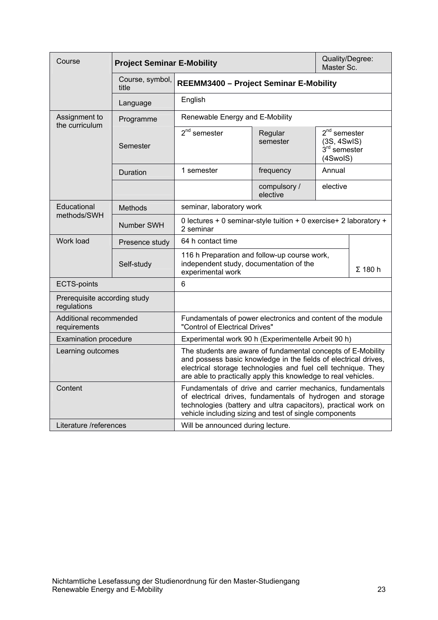<span id="page-22-0"></span>

| Course                                      |                          | <b>Project Seminar E-Mobility</b>                                                                                                                                                                                                                                  |                          |                                                                       | Quality/Degree:<br>Master Sc. |
|---------------------------------------------|--------------------------|--------------------------------------------------------------------------------------------------------------------------------------------------------------------------------------------------------------------------------------------------------------------|--------------------------|-----------------------------------------------------------------------|-------------------------------|
|                                             | Course, symbol,<br>title | <b>REEMM3400 - Project Seminar E-Mobility</b>                                                                                                                                                                                                                      |                          |                                                                       |                               |
|                                             | Language                 | English                                                                                                                                                                                                                                                            |                          |                                                                       |                               |
| Assignment to<br>the curriculum             | Programme                | Renewable Energy and E-Mobility                                                                                                                                                                                                                                    |                          |                                                                       |                               |
|                                             | Semester                 | $2nd$ semester                                                                                                                                                                                                                                                     | Regular<br>semester      | $2nd$ semester<br>(3S, 4SwIS)<br>3 <sup>rd</sup> semester<br>(4SwoIS) |                               |
|                                             | Duration                 | 1 semester                                                                                                                                                                                                                                                         | frequency                | Annual                                                                |                               |
|                                             |                          |                                                                                                                                                                                                                                                                    | compulsory /<br>elective | elective                                                              |                               |
| Educational                                 | <b>Methods</b>           | seminar, laboratory work                                                                                                                                                                                                                                           |                          |                                                                       |                               |
| methods/SWH                                 | Number SWH               | 0 lectures + 0 seminar-style tuition + 0 exercise+ 2 laboratory +<br>2 seminar                                                                                                                                                                                     |                          |                                                                       |                               |
| Work load                                   | Presence study           | 64 h contact time                                                                                                                                                                                                                                                  |                          |                                                                       |                               |
|                                             | Self-study               | 116 h Preparation and follow-up course work,<br>independent study, documentation of the<br>experimental work                                                                                                                                                       |                          |                                                                       | $\Sigma$ 180 h                |
| <b>ECTS-points</b>                          |                          | 6                                                                                                                                                                                                                                                                  |                          |                                                                       |                               |
| Prerequisite according study<br>regulations |                          |                                                                                                                                                                                                                                                                    |                          |                                                                       |                               |
| Additional recommended<br>requirements      |                          | Fundamentals of power electronics and content of the module<br>"Control of Electrical Drives"                                                                                                                                                                      |                          |                                                                       |                               |
| <b>Examination procedure</b>                |                          | Experimental work 90 h (Experimentelle Arbeit 90 h)                                                                                                                                                                                                                |                          |                                                                       |                               |
| Learning outcomes                           |                          | The students are aware of fundamental concepts of E-Mobility<br>and possess basic knowledge in the fields of electrical drives,<br>electrical storage technologies and fuel cell technique. They<br>are able to practically apply this knowledge to real vehicles. |                          |                                                                       |                               |
| Content                                     |                          | Fundamentals of drive and carrier mechanics, fundamentals<br>of electrical drives, fundamentals of hydrogen and storage<br>technologies (battery and ultra capacitors), practical work on<br>vehicle including sizing and test of single components                |                          |                                                                       |                               |
| Literature /references                      |                          | Will be announced during lecture.                                                                                                                                                                                                                                  |                          |                                                                       |                               |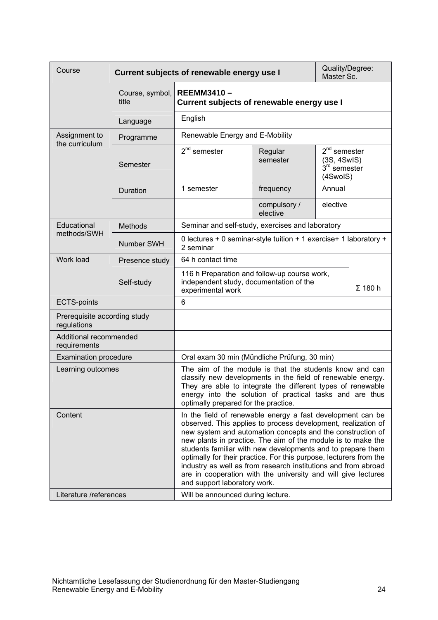<span id="page-23-0"></span>

| Course                                      |                          | Quality/Degree:<br>Current subjects of renewable energy use I<br>Master Sc.                                                                                                                                                                                                                                                                                                                                                                                                                                                                                                                            |                                                                                                                                |                                                             |  |
|---------------------------------------------|--------------------------|--------------------------------------------------------------------------------------------------------------------------------------------------------------------------------------------------------------------------------------------------------------------------------------------------------------------------------------------------------------------------------------------------------------------------------------------------------------------------------------------------------------------------------------------------------------------------------------------------------|--------------------------------------------------------------------------------------------------------------------------------|-------------------------------------------------------------|--|
|                                             | Course, symbol,<br>title | <b>REEMM3410-</b><br>Current subjects of renewable energy use I                                                                                                                                                                                                                                                                                                                                                                                                                                                                                                                                        |                                                                                                                                |                                                             |  |
|                                             | Language                 | English                                                                                                                                                                                                                                                                                                                                                                                                                                                                                                                                                                                                |                                                                                                                                |                                                             |  |
| Assignment to<br>the curriculum             | Programme                | Renewable Energy and E-Mobility                                                                                                                                                                                                                                                                                                                                                                                                                                                                                                                                                                        |                                                                                                                                |                                                             |  |
|                                             | Semester                 | $2nd$ semester                                                                                                                                                                                                                                                                                                                                                                                                                                                                                                                                                                                         | Regular<br>semester                                                                                                            | $2nd$ semester<br>(3S, 4SwIS)<br>$3rd$ semester<br>(4SwoIS) |  |
|                                             | Duration                 | 1 semester                                                                                                                                                                                                                                                                                                                                                                                                                                                                                                                                                                                             | frequency                                                                                                                      | Annual                                                      |  |
|                                             |                          |                                                                                                                                                                                                                                                                                                                                                                                                                                                                                                                                                                                                        | compulsory /<br>elective                                                                                                       | elective                                                    |  |
| Educational<br>methods/SWH                  | <b>Methods</b>           | Seminar and self-study, exercises and laboratory                                                                                                                                                                                                                                                                                                                                                                                                                                                                                                                                                       |                                                                                                                                |                                                             |  |
|                                             | Number SWH               | 0 lectures + 0 seminar-style tuition + 1 exercise+ 1 laboratory +<br>2 seminar                                                                                                                                                                                                                                                                                                                                                                                                                                                                                                                         |                                                                                                                                |                                                             |  |
| Work load                                   | Presence study           | 64 h contact time                                                                                                                                                                                                                                                                                                                                                                                                                                                                                                                                                                                      |                                                                                                                                |                                                             |  |
|                                             | Self-study               |                                                                                                                                                                                                                                                                                                                                                                                                                                                                                                                                                                                                        | 116 h Preparation and follow-up course work,<br>independent study, documentation of the<br>$\Sigma$ 180 h<br>experimental work |                                                             |  |
| <b>ECTS-points</b>                          |                          | 6                                                                                                                                                                                                                                                                                                                                                                                                                                                                                                                                                                                                      |                                                                                                                                |                                                             |  |
| Prerequisite according study<br>regulations |                          |                                                                                                                                                                                                                                                                                                                                                                                                                                                                                                                                                                                                        |                                                                                                                                |                                                             |  |
| Additional recommended<br>requirements      |                          |                                                                                                                                                                                                                                                                                                                                                                                                                                                                                                                                                                                                        |                                                                                                                                |                                                             |  |
| <b>Examination procedure</b>                |                          | Oral exam 30 min (Mündliche Prüfung, 30 min)                                                                                                                                                                                                                                                                                                                                                                                                                                                                                                                                                           |                                                                                                                                |                                                             |  |
| Learning outcomes                           |                          | The aim of the module is that the students know and can<br>classify new developments in the field of renewable energy.<br>They are able to integrate the different types of renewable<br>energy into the solution of practical tasks and are thus<br>optimally prepared for the practice.                                                                                                                                                                                                                                                                                                              |                                                                                                                                |                                                             |  |
| Content<br>Literature /references           |                          | In the field of renewable energy a fast development can be<br>observed. This applies to process development, realization of<br>new system and automation concepts and the construction of<br>new plants in practice. The aim of the module is to make the<br>students familiar with new developments and to prepare them<br>optimally for their practice. For this purpose, lecturers from the<br>industry as well as from research institutions and from abroad<br>are in cooperation with the university and will give lectures<br>and support laboratory work.<br>Will be announced during lecture. |                                                                                                                                |                                                             |  |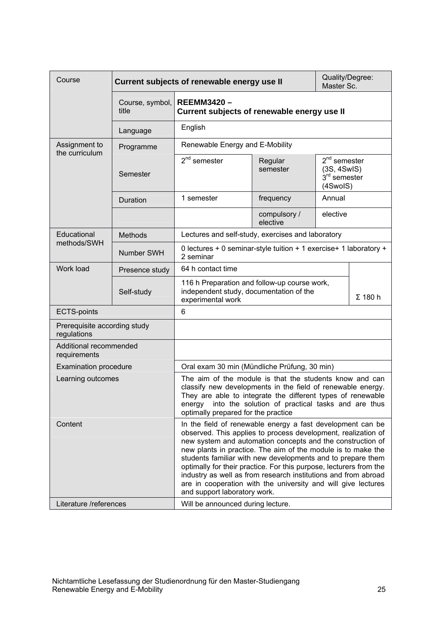<span id="page-24-0"></span>

| Course                                      |                                 | Current subjects of renewable energy use II                                                                                                                                                                                                                                                                                                                                                                                                                                                                                                                                                            |                                                                                         |                                                             | Quality/Degree:<br>Master Sc. |
|---------------------------------------------|---------------------------------|--------------------------------------------------------------------------------------------------------------------------------------------------------------------------------------------------------------------------------------------------------------------------------------------------------------------------------------------------------------------------------------------------------------------------------------------------------------------------------------------------------------------------------------------------------------------------------------------------------|-----------------------------------------------------------------------------------------|-------------------------------------------------------------|-------------------------------|
|                                             | Course, symbol,<br>title        | <b>REEMM3420-</b><br>Current subjects of renewable energy use II                                                                                                                                                                                                                                                                                                                                                                                                                                                                                                                                       |                                                                                         |                                                             |                               |
|                                             | Language                        | English                                                                                                                                                                                                                                                                                                                                                                                                                                                                                                                                                                                                |                                                                                         |                                                             |                               |
| Assignment to<br>the curriculum             | Programme                       | Renewable Energy and E-Mobility                                                                                                                                                                                                                                                                                                                                                                                                                                                                                                                                                                        |                                                                                         |                                                             |                               |
|                                             | $2nd$ semester<br>Semester      |                                                                                                                                                                                                                                                                                                                                                                                                                                                                                                                                                                                                        | Regular<br>semester                                                                     | $2nd$ semester<br>(3S, 4SwIS)<br>$3rd$ semester<br>(4SwoIS) |                               |
|                                             | Duration                        | 1 semester                                                                                                                                                                                                                                                                                                                                                                                                                                                                                                                                                                                             | frequency                                                                               | Annual                                                      |                               |
|                                             |                                 |                                                                                                                                                                                                                                                                                                                                                                                                                                                                                                                                                                                                        | compulsory /<br>elective                                                                | elective                                                    |                               |
| Educational                                 | <b>Methods</b>                  | Lectures and self-study, exercises and laboratory                                                                                                                                                                                                                                                                                                                                                                                                                                                                                                                                                      |                                                                                         |                                                             |                               |
| methods/SWH                                 | Number SWH                      | 0 lectures + 0 seminar-style tuition + 1 exercise+ 1 laboratory +<br>2 seminar                                                                                                                                                                                                                                                                                                                                                                                                                                                                                                                         |                                                                                         |                                                             |                               |
| Work load                                   | Presence study                  | 64 h contact time                                                                                                                                                                                                                                                                                                                                                                                                                                                                                                                                                                                      |                                                                                         |                                                             |                               |
|                                             | Self-study<br>experimental work |                                                                                                                                                                                                                                                                                                                                                                                                                                                                                                                                                                                                        | 116 h Preparation and follow-up course work,<br>independent study, documentation of the |                                                             | $\Sigma$ 180 h                |
| <b>ECTS-points</b>                          |                                 | 6                                                                                                                                                                                                                                                                                                                                                                                                                                                                                                                                                                                                      |                                                                                         |                                                             |                               |
| Prerequisite according study<br>regulations |                                 |                                                                                                                                                                                                                                                                                                                                                                                                                                                                                                                                                                                                        |                                                                                         |                                                             |                               |
| Additional recommended<br>requirements      |                                 |                                                                                                                                                                                                                                                                                                                                                                                                                                                                                                                                                                                                        |                                                                                         |                                                             |                               |
| <b>Examination procedure</b>                |                                 | Oral exam 30 min (Mündliche Prüfung, 30 min)                                                                                                                                                                                                                                                                                                                                                                                                                                                                                                                                                           |                                                                                         |                                                             |                               |
| Learning outcomes                           |                                 | The aim of the module is that the students know and can<br>classify new developments in the field of renewable energy.<br>They are able to integrate the different types of renewable<br>into the solution of practical tasks and are thus<br>energy<br>optimally prepared for the practice                                                                                                                                                                                                                                                                                                            |                                                                                         |                                                             |                               |
| Content<br>Literature /references           |                                 | In the field of renewable energy a fast development can be<br>observed. This applies to process development, realization of<br>new system and automation concepts and the construction of<br>new plants in practice. The aim of the module is to make the<br>students familiar with new developments and to prepare them<br>optimally for their practice. For this purpose, lecturers from the<br>industry as well as from research institutions and from abroad<br>are in cooperation with the university and will give lectures<br>and support laboratory work.<br>Will be announced during lecture. |                                                                                         |                                                             |                               |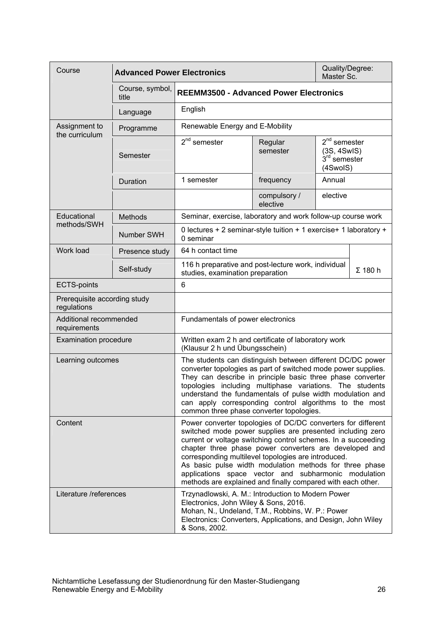<span id="page-25-0"></span>

| Course                                      | <b>Advanced Power Electronics</b> |                                                                                                                                                                                                                                                                                                                                                                                                                                                                                               |                          | Quality/Degree:<br>Master Sc.                                                                                                                                                                                                                                                                                                                                                |
|---------------------------------------------|-----------------------------------|-----------------------------------------------------------------------------------------------------------------------------------------------------------------------------------------------------------------------------------------------------------------------------------------------------------------------------------------------------------------------------------------------------------------------------------------------------------------------------------------------|--------------------------|------------------------------------------------------------------------------------------------------------------------------------------------------------------------------------------------------------------------------------------------------------------------------------------------------------------------------------------------------------------------------|
|                                             | Course, symbol,<br>title          | <b>REEMM3500 - Advanced Power Electronics</b>                                                                                                                                                                                                                                                                                                                                                                                                                                                 |                          |                                                                                                                                                                                                                                                                                                                                                                              |
|                                             | Language                          | English                                                                                                                                                                                                                                                                                                                                                                                                                                                                                       |                          |                                                                                                                                                                                                                                                                                                                                                                              |
| Assignment to<br>the curriculum             | Programme                         | Renewable Energy and E-Mobility                                                                                                                                                                                                                                                                                                                                                                                                                                                               |                          |                                                                                                                                                                                                                                                                                                                                                                              |
|                                             | Semester                          | $2nd$ semester                                                                                                                                                                                                                                                                                                                                                                                                                                                                                | Regular<br>semester      | $2nd$ semester<br>(3S, 4SwIS)<br>3 <sup>rd</sup> semester<br>(4SwoIS)                                                                                                                                                                                                                                                                                                        |
|                                             | Duration                          | 1 semester                                                                                                                                                                                                                                                                                                                                                                                                                                                                                    | frequency                | Annual                                                                                                                                                                                                                                                                                                                                                                       |
|                                             |                                   |                                                                                                                                                                                                                                                                                                                                                                                                                                                                                               | compulsory /<br>elective | elective                                                                                                                                                                                                                                                                                                                                                                     |
| Educational                                 | Methods                           | Seminar, exercise, laboratory and work follow-up course work                                                                                                                                                                                                                                                                                                                                                                                                                                  |                          |                                                                                                                                                                                                                                                                                                                                                                              |
| methods/SWH                                 | Number SWH                        | 0 lectures + 2 seminar-style tuition + 1 exercise+ 1 laboratory +<br>0 seminar                                                                                                                                                                                                                                                                                                                                                                                                                |                          |                                                                                                                                                                                                                                                                                                                                                                              |
| Work load                                   | Presence study                    | 64 h contact time                                                                                                                                                                                                                                                                                                                                                                                                                                                                             |                          |                                                                                                                                                                                                                                                                                                                                                                              |
|                                             | Self-study                        | 116 h preparative and post-lecture work, individual<br>$\Sigma$ 180 h<br>studies, examination preparation                                                                                                                                                                                                                                                                                                                                                                                     |                          |                                                                                                                                                                                                                                                                                                                                                                              |
| <b>ECTS-points</b>                          |                                   | 6                                                                                                                                                                                                                                                                                                                                                                                                                                                                                             |                          |                                                                                                                                                                                                                                                                                                                                                                              |
| Prerequisite according study<br>regulations |                                   |                                                                                                                                                                                                                                                                                                                                                                                                                                                                                               |                          |                                                                                                                                                                                                                                                                                                                                                                              |
| Additional recommended<br>requirements      |                                   | Fundamentals of power electronics                                                                                                                                                                                                                                                                                                                                                                                                                                                             |                          |                                                                                                                                                                                                                                                                                                                                                                              |
| <b>Examination procedure</b>                |                                   | Written exam 2 h and certificate of laboratory work<br>(Klausur 2 h und Übungsschein)                                                                                                                                                                                                                                                                                                                                                                                                         |                          |                                                                                                                                                                                                                                                                                                                                                                              |
| Learning outcomes                           |                                   | common three phase converter topologies.                                                                                                                                                                                                                                                                                                                                                                                                                                                      |                          | The students can distinguish between different DC/DC power<br>converter topologies as part of switched mode power supplies.<br>They can describe in principle basic three phase converter<br>topologies including multiphase variations. The students<br>understand the fundamentals of pulse width modulation and<br>can apply corresponding control algorithms to the most |
| Content                                     |                                   | Power converter topologies of DC/DC converters for different<br>switched mode power supplies are presented including zero<br>current or voltage switching control schemes. In a succeeding<br>chapter three phase power converters are developed and<br>corresponding multilevel topologies are introduced.<br>As basic pulse width modulation methods for three phase<br>applications space vector and subharmonic modulation<br>methods are explained and finally compared with each other. |                          |                                                                                                                                                                                                                                                                                                                                                                              |
| Literature /references                      |                                   | Trzynadlowski, A. M.: Introduction to Modern Power<br>Electronics, John Wiley & Sons, 2016.<br>Mohan, N., Undeland, T.M., Robbins, W. P.: Power<br>Electronics: Converters, Applications, and Design, John Wiley<br>& Sons, 2002.                                                                                                                                                                                                                                                             |                          |                                                                                                                                                                                                                                                                                                                                                                              |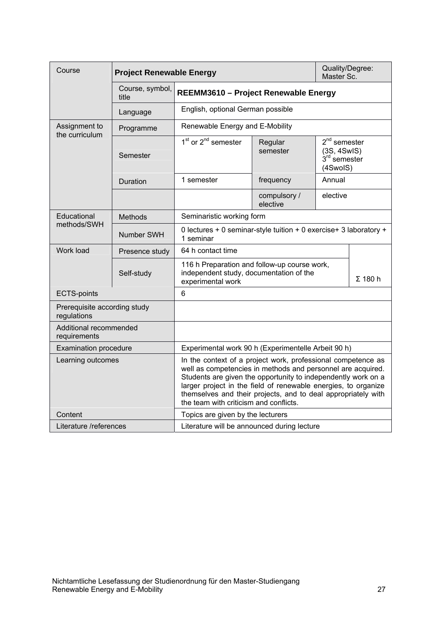<span id="page-26-0"></span>

| Course                                      | <b>Project Renewable Energy</b> |                                                                                                                                                                                                                                                                                                                                                                           |                                                                                    | Quality/Degree:<br>Master Sc. |                |  |
|---------------------------------------------|---------------------------------|---------------------------------------------------------------------------------------------------------------------------------------------------------------------------------------------------------------------------------------------------------------------------------------------------------------------------------------------------------------------------|------------------------------------------------------------------------------------|-------------------------------|----------------|--|
|                                             | Course, symbol,<br>title        | REEMM3610 - Project Renewable Energy                                                                                                                                                                                                                                                                                                                                      |                                                                                    |                               |                |  |
|                                             | Language                        | English, optional German possible                                                                                                                                                                                                                                                                                                                                         |                                                                                    |                               |                |  |
| Assignment to<br>the curriculum             | Programme                       | Renewable Energy and E-Mobility                                                                                                                                                                                                                                                                                                                                           |                                                                                    |                               |                |  |
|                                             | Semester                        | $1st$ or $2nd$ semester                                                                                                                                                                                                                                                                                                                                                   | $2nd$ semester<br>Regular<br>semester<br>(3S, 4SwIS)<br>$3rd$ semester<br>(4SwoIS) |                               |                |  |
|                                             | Duration                        | 1 semester                                                                                                                                                                                                                                                                                                                                                                | frequency                                                                          | Annual                        |                |  |
|                                             |                                 |                                                                                                                                                                                                                                                                                                                                                                           | compulsory /<br>elective                                                           | elective                      |                |  |
| Educational                                 | Methods                         | Seminaristic working form                                                                                                                                                                                                                                                                                                                                                 |                                                                                    |                               |                |  |
| methods/SWH                                 | Number SWH                      | 0 lectures + 0 seminar-style tuition + 0 exercise+ 3 laboratory +<br>1 seminar                                                                                                                                                                                                                                                                                            |                                                                                    |                               |                |  |
| Work load                                   | Presence study                  | 64 h contact time                                                                                                                                                                                                                                                                                                                                                         |                                                                                    |                               |                |  |
|                                             | Self-study                      | 116 h Preparation and follow-up course work,<br>independent study, documentation of the<br>experimental work                                                                                                                                                                                                                                                              |                                                                                    |                               | $\Sigma$ 180 h |  |
| <b>ECTS-points</b>                          |                                 | 6                                                                                                                                                                                                                                                                                                                                                                         |                                                                                    |                               |                |  |
| Prerequisite according study<br>regulations |                                 |                                                                                                                                                                                                                                                                                                                                                                           |                                                                                    |                               |                |  |
| Additional recommended<br>requirements      |                                 |                                                                                                                                                                                                                                                                                                                                                                           |                                                                                    |                               |                |  |
| <b>Examination procedure</b>                |                                 | Experimental work 90 h (Experimentelle Arbeit 90 h)                                                                                                                                                                                                                                                                                                                       |                                                                                    |                               |                |  |
| Learning outcomes                           |                                 | In the context of a project work, professional competence as<br>well as competencies in methods and personnel are acquired.<br>Students are given the opportunity to independently work on a<br>larger project in the field of renewable energies, to organize<br>themselves and their projects, and to deal appropriately with<br>the team with criticism and conflicts. |                                                                                    |                               |                |  |
| Content                                     |                                 | Topics are given by the lecturers                                                                                                                                                                                                                                                                                                                                         |                                                                                    |                               |                |  |
| Literature /references                      |                                 | Literature will be announced during lecture                                                                                                                                                                                                                                                                                                                               |                                                                                    |                               |                |  |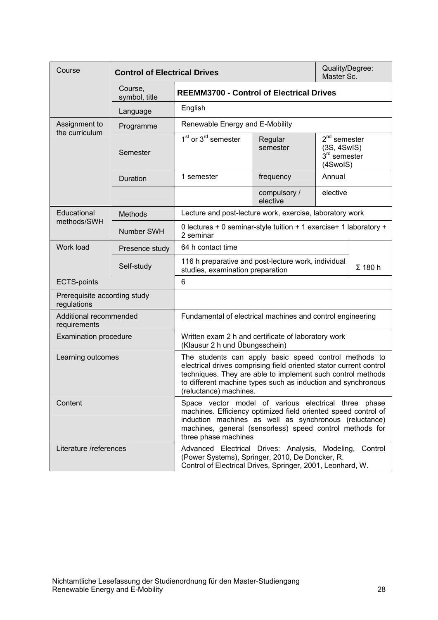<span id="page-27-0"></span>

| Course                                      | <b>Control of Electrical Drives</b> |                                                                                                                                                                                                                                                                                      |                          | Quality/Degree:<br>Master Sc.                                  |                |
|---------------------------------------------|-------------------------------------|--------------------------------------------------------------------------------------------------------------------------------------------------------------------------------------------------------------------------------------------------------------------------------------|--------------------------|----------------------------------------------------------------|----------------|
|                                             | Course,<br>symbol, title            | <b>REEMM3700 - Control of Electrical Drives</b>                                                                                                                                                                                                                                      |                          |                                                                |                |
|                                             | Language                            | English                                                                                                                                                                                                                                                                              |                          |                                                                |                |
| Assignment to                               | Programme                           | Renewable Energy and E-Mobility                                                                                                                                                                                                                                                      |                          |                                                                |                |
| the curriculum                              | Semester                            | $1st$ or $3rd$ semester<br>Regular<br>semester                                                                                                                                                                                                                                       |                          | $2^{nd}$ semester<br>(3S, 4SwIS)<br>$3rd$ semester<br>(4SwoIS) |                |
|                                             | Duration                            | 1 semester                                                                                                                                                                                                                                                                           | frequency                | Annual                                                         |                |
|                                             |                                     |                                                                                                                                                                                                                                                                                      | compulsory /<br>elective | elective                                                       |                |
| Educational                                 | <b>Methods</b>                      | Lecture and post-lecture work, exercise, laboratory work                                                                                                                                                                                                                             |                          |                                                                |                |
| methods/SWH                                 | Number SWH                          | 0 lectures + 0 seminar-style tuition + 1 exercise+ 1 laboratory +<br>2 seminar                                                                                                                                                                                                       |                          |                                                                |                |
| Work load                                   | Presence study                      | 64 h contact time                                                                                                                                                                                                                                                                    |                          |                                                                |                |
|                                             | Self-study                          | 116 h preparative and post-lecture work, individual<br>studies, examination preparation                                                                                                                                                                                              |                          |                                                                | $\Sigma$ 180 h |
| <b>ECTS-points</b>                          |                                     | 6                                                                                                                                                                                                                                                                                    |                          |                                                                |                |
| Prerequisite according study<br>regulations |                                     |                                                                                                                                                                                                                                                                                      |                          |                                                                |                |
| Additional recommended<br>requirements      |                                     | Fundamental of electrical machines and control engineering                                                                                                                                                                                                                           |                          |                                                                |                |
| <b>Examination procedure</b>                |                                     | Written exam 2 h and certificate of laboratory work<br>(Klausur 2 h und Übungsschein)                                                                                                                                                                                                |                          |                                                                |                |
| Learning outcomes                           |                                     | The students can apply basic speed control methods to<br>electrical drives comprising field oriented stator current control<br>techniques. They are able to implement such control methods<br>to different machine types such as induction and synchronous<br>(reluctance) machines. |                          |                                                                |                |
| Content                                     |                                     | Space vector model of various electrical three phase<br>machines. Efficiency optimized field oriented speed control of<br>induction machines as well as synchronous (reluctance)<br>machines, general (sensorless) speed control methods for<br>three phase machines                 |                          |                                                                |                |
| Literature /references                      |                                     | Advanced Electrical Drives: Analysis, Modeling,<br>Control<br>(Power Systems), Springer, 2010, De Doncker, R.<br>Control of Electrical Drives, Springer, 2001, Leonhard, W.                                                                                                          |                          |                                                                |                |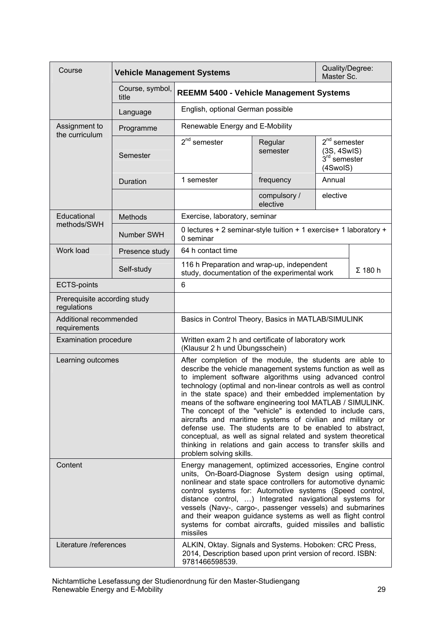<span id="page-28-0"></span>

| Course                                      | <b>Vehicle Management Systems</b> |                                                                                                                                                                                                                                                                                                                                                                                                                                                                                                                                                                                                                                                                                                                                 |                          | Quality/Degree:<br>Master Sc.                               |                |
|---------------------------------------------|-----------------------------------|---------------------------------------------------------------------------------------------------------------------------------------------------------------------------------------------------------------------------------------------------------------------------------------------------------------------------------------------------------------------------------------------------------------------------------------------------------------------------------------------------------------------------------------------------------------------------------------------------------------------------------------------------------------------------------------------------------------------------------|--------------------------|-------------------------------------------------------------|----------------|
|                                             | Course, symbol,<br>title          | <b>REEMM 5400 - Vehicle Management Systems</b>                                                                                                                                                                                                                                                                                                                                                                                                                                                                                                                                                                                                                                                                                  |                          |                                                             |                |
|                                             | Language                          | English, optional German possible                                                                                                                                                                                                                                                                                                                                                                                                                                                                                                                                                                                                                                                                                               |                          |                                                             |                |
| Assignment to<br>the curriculum             | Programme                         | Renewable Energy and E-Mobility                                                                                                                                                                                                                                                                                                                                                                                                                                                                                                                                                                                                                                                                                                 |                          |                                                             |                |
|                                             | Semester                          | $2nd$ semester                                                                                                                                                                                                                                                                                                                                                                                                                                                                                                                                                                                                                                                                                                                  | Regular<br>semester      | $2nd$ semester<br>(3S, 4SwIS)<br>$3rd$ semester<br>(4SwoIS) |                |
|                                             | Duration                          | 1 semester                                                                                                                                                                                                                                                                                                                                                                                                                                                                                                                                                                                                                                                                                                                      | frequency                | Annual                                                      |                |
|                                             |                                   |                                                                                                                                                                                                                                                                                                                                                                                                                                                                                                                                                                                                                                                                                                                                 | compulsory /<br>elective | elective                                                    |                |
| Educational                                 | <b>Methods</b>                    | Exercise, laboratory, seminar                                                                                                                                                                                                                                                                                                                                                                                                                                                                                                                                                                                                                                                                                                   |                          |                                                             |                |
| methods/SWH                                 | Number SWH                        | 0 lectures + 2 seminar-style tuition + 1 exercise+ 1 laboratory +<br>0 seminar                                                                                                                                                                                                                                                                                                                                                                                                                                                                                                                                                                                                                                                  |                          |                                                             |                |
| Work load                                   | Presence study                    | 64 h contact time                                                                                                                                                                                                                                                                                                                                                                                                                                                                                                                                                                                                                                                                                                               |                          |                                                             |                |
|                                             | Self-study                        | 116 h Preparation and wrap-up, independent<br>study, documentation of the experimental work                                                                                                                                                                                                                                                                                                                                                                                                                                                                                                                                                                                                                                     |                          |                                                             | $\Sigma$ 180 h |
| <b>ECTS-points</b>                          |                                   | 6                                                                                                                                                                                                                                                                                                                                                                                                                                                                                                                                                                                                                                                                                                                               |                          |                                                             |                |
| Prerequisite according study<br>regulations |                                   |                                                                                                                                                                                                                                                                                                                                                                                                                                                                                                                                                                                                                                                                                                                                 |                          |                                                             |                |
| Additional recommended<br>requirements      |                                   | Basics in Control Theory, Basics in MATLAB/SIMULINK                                                                                                                                                                                                                                                                                                                                                                                                                                                                                                                                                                                                                                                                             |                          |                                                             |                |
| <b>Examination procedure</b>                |                                   | Written exam 2 h and certificate of laboratory work<br>(Klausur 2 h und Übungsschein)                                                                                                                                                                                                                                                                                                                                                                                                                                                                                                                                                                                                                                           |                          |                                                             |                |
| Learning outcomes                           |                                   | After completion of the module, the students are able to<br>describe the vehicle management systems function as well as<br>to implement software algorithms using advanced control<br>technology (optimal and non-linear controls as well as control<br>in the state space) and their embedded implementation by<br>means of the software engineering tool MATLAB / SIMULINK.<br>The concept of the "vehicle" is extended to include cars,<br>aircrafts and maritime systems of civilian and military or<br>defense use. The students are to be enabled to abstract,<br>conceptual, as well as signal related and system theoretical<br>thinking in relations and gain access to transfer skills and<br>problem solving skills. |                          |                                                             |                |
| Content                                     |                                   | Energy management, optimized accessories, Engine control<br>units, On-Board-Diagnose System design using optimal,<br>nonlinear and state space controllers for automotive dynamic<br>control systems for: Automotive systems (Speed control,<br>distance control, ) Integrated navigational systems for<br>vessels (Navy-, cargo-, passenger vessels) and submarines<br>and their weapon guidance systems as well as flight control<br>systems for combat aircrafts, guided missiles and ballistic<br>missiles                                                                                                                                                                                                                  |                          |                                                             |                |
| Literature /references                      |                                   | ALKIN, Oktay. Signals and Systems. Hoboken: CRC Press,<br>2014, Description based upon print version of record. ISBN:<br>9781466598539.                                                                                                                                                                                                                                                                                                                                                                                                                                                                                                                                                                                         |                          |                                                             |                |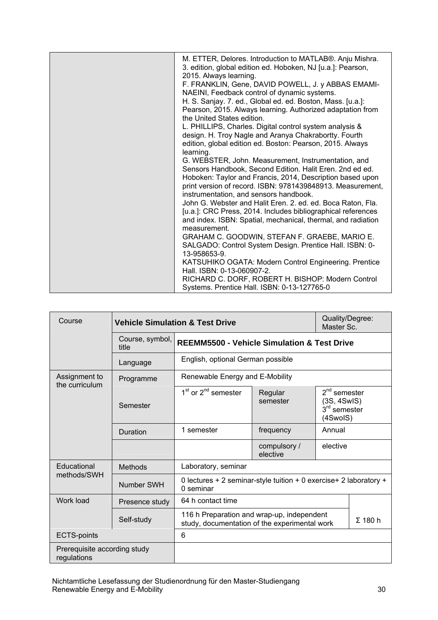| M. ETTER, Delores. Introduction to MATLAB®. Anju Mishra.<br>3. edition, global edition ed. Hoboken, NJ [u.a.]: Pearson,<br>2015. Always learning.<br>F. FRANKLIN, Gene, DAVID POWELL, J. y ABBAS EMAMI-<br>NAEINI, Feedback control of dynamic systems.<br>H. S. Sanjay. 7. ed., Global ed. ed. Boston, Mass. [u.a.]:<br>Pearson, 2015. Always learning. Authorized adaptation from<br>the United States edition.<br>L. PHILLIPS, Charles. Digital control system analysis &<br>design. H. Troy Nagle and Aranya Chakrabortty. Fourth<br>edition, global edition ed. Boston: Pearson, 2015. Always<br>learning.<br>G. WEBSTER, John. Measurement, Instrumentation, and<br>Sensors Handbook, Second Edition. Halit Eren. 2nd ed ed.<br>Hoboken: Taylor and Francis, 2014, Description based upon<br>print version of record. ISBN: 9781439848913. Measurement,<br>instrumentation, and sensors handbook.<br>John G. Webster and Halit Eren. 2. ed. ed. Boca Raton, Fla.<br>[u.a.]: CRC Press, 2014. Includes bibliographical references<br>and index. ISBN: Spatial, mechanical, thermal, and radiation<br>measurement.<br>GRAHAM C. GOODWIN, STEFAN F. GRAEBE, MARIO E.<br>SALGADO: Control System Design. Prentice Hall. ISBN: 0-<br>13-958653-9.<br>KATSUHIKO OGATA: Modern Control Engineering. Prentice<br>Hall. ISBN: 0-13-060907-2. |
|-------------------------------------------------------------------------------------------------------------------------------------------------------------------------------------------------------------------------------------------------------------------------------------------------------------------------------------------------------------------------------------------------------------------------------------------------------------------------------------------------------------------------------------------------------------------------------------------------------------------------------------------------------------------------------------------------------------------------------------------------------------------------------------------------------------------------------------------------------------------------------------------------------------------------------------------------------------------------------------------------------------------------------------------------------------------------------------------------------------------------------------------------------------------------------------------------------------------------------------------------------------------------------------------------------------------------------------------|
| RICHARD C. DORF, ROBERT H. BISHOP: Modern Control<br>Systems. Prentice Hall. ISBN: 0-13-127765-0                                                                                                                                                                                                                                                                                                                                                                                                                                                                                                                                                                                                                                                                                                                                                                                                                                                                                                                                                                                                                                                                                                                                                                                                                                          |

<span id="page-29-0"></span>

| Course                                      |                          | <b>Vehicle Simulation &amp; Test Drive</b>                                                  |                          |                                                             |                |
|---------------------------------------------|--------------------------|---------------------------------------------------------------------------------------------|--------------------------|-------------------------------------------------------------|----------------|
|                                             | Course, symbol,<br>title | <b>REEMM5500 - Vehicle Simulation &amp; Test Drive</b>                                      |                          |                                                             |                |
|                                             | Language                 | English, optional German possible                                                           |                          |                                                             |                |
| Assignment to<br>the curriculum             | Programme                | Renewable Energy and E-Mobility                                                             |                          |                                                             |                |
|                                             | Semester                 | 1 <sup>st</sup> or 2 <sup>nd</sup> semester                                                 | Regular<br>semester      | $2nd$ semester<br>(3S, 4SwIS)<br>$3rd$ semester<br>(4SwoIS) |                |
|                                             | Duration                 | 1 semester                                                                                  | frequency                | Annual                                                      |                |
|                                             |                          |                                                                                             | compulsory /<br>elective | elective                                                    |                |
| Educational                                 | <b>Methods</b>           | Laboratory, seminar                                                                         |                          |                                                             |                |
| methods/SWH                                 | Number SWH               | 0 lectures + 2 seminar-style tuition + 0 exercise+ 2 laboratory +<br>0 seminar              |                          |                                                             |                |
| Work load                                   | Presence study           | 64 h contact time                                                                           |                          |                                                             |                |
|                                             | Self-study               | 116 h Preparation and wrap-up, independent<br>study, documentation of the experimental work |                          |                                                             | $\Sigma$ 180 h |
| <b>ECTS-points</b>                          |                          | 6                                                                                           |                          |                                                             |                |
| Prerequisite according study<br>regulations |                          |                                                                                             |                          |                                                             |                |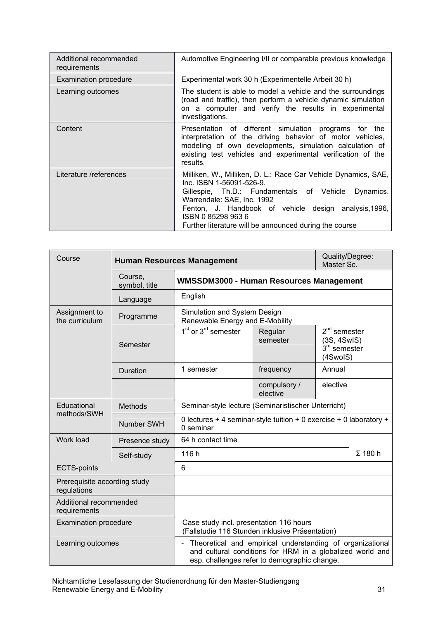| Additional recommended<br>requirements | Automotive Engineering I/II or comparable previous knowledge                                                                                                                                                                                                                                                             |  |  |  |  |  |  |  |
|----------------------------------------|--------------------------------------------------------------------------------------------------------------------------------------------------------------------------------------------------------------------------------------------------------------------------------------------------------------------------|--|--|--|--|--|--|--|
| <b>Examination procedure</b>           | Experimental work 30 h (Experimentelle Arbeit 30 h)                                                                                                                                                                                                                                                                      |  |  |  |  |  |  |  |
| Learning outcomes                      | The student is able to model a vehicle and the surroundings<br>(road and traffic), then perform a vehicle dynamic simulation<br>on a computer and verify the results in experimental<br>investigations.                                                                                                                  |  |  |  |  |  |  |  |
| Content                                | Presentation of different simulation programs<br>for the<br>interpretation of the driving behavior of motor vehicles,<br>modeling of own developments, simulation calculation of<br>existing test vehicles and experimental verification of the<br>results.                                                              |  |  |  |  |  |  |  |
| Literature /references                 | Milliken, W., Milliken, D. L.: Race Car Vehicle Dynamics, SAE,<br>Inc. ISBN 1-56091-526-9.<br>Gillespie, Th.D.: Fundamentals of Vehicle<br>Dynamics.<br>Warrendale: SAE, Inc. 1992<br>Fenton, J. Handbook of vehicle design analysis, 1996,<br>ISBN 0852989636<br>Further literature will be announced during the course |  |  |  |  |  |  |  |

<span id="page-30-0"></span>

| Course                                      |                          | <b>Human Resources Management</b>                                                                                                                                                        |                          | Quality/Degree:<br>Master Sc. |                                                             |  |
|---------------------------------------------|--------------------------|------------------------------------------------------------------------------------------------------------------------------------------------------------------------------------------|--------------------------|-------------------------------|-------------------------------------------------------------|--|
|                                             | Course,<br>symbol, title | WMSSDM3000 - Human Resources Management                                                                                                                                                  |                          |                               |                                                             |  |
|                                             | Language                 | English                                                                                                                                                                                  |                          |                               |                                                             |  |
| Assignment to<br>the curriculum             | Programme                | Simulation and System Design<br>Renewable Energy and E-Mobility                                                                                                                          |                          |                               |                                                             |  |
|                                             | Semester                 | $1st$ or $3rd$ semester                                                                                                                                                                  | Regular<br>semester      |                               | $2nd$ semester<br>(3S, 4SwIS)<br>$3rd$ semester<br>(4SwoIS) |  |
|                                             | Duration                 | 1 semester                                                                                                                                                                               | frequency                | Annual                        |                                                             |  |
|                                             |                          |                                                                                                                                                                                          | compulsory /<br>elective | elective                      |                                                             |  |
| Educational                                 | <b>Methods</b>           | Seminar-style lecture (Seminaristischer Unterricht)                                                                                                                                      |                          |                               |                                                             |  |
| methods/SWH                                 | Number SWH               | 0 lectures + 4 seminar-style tuition + 0 exercise + 0 laboratory +<br>0 seminar                                                                                                          |                          |                               |                                                             |  |
| Work load                                   | Presence study           | 64 h contact time                                                                                                                                                                        |                          |                               |                                                             |  |
|                                             | Self-study               | 116h                                                                                                                                                                                     |                          | $\Sigma$ 180 h                |                                                             |  |
| <b>ECTS-points</b>                          |                          | 6                                                                                                                                                                                        |                          |                               |                                                             |  |
| Prerequisite according study<br>regulations |                          |                                                                                                                                                                                          |                          |                               |                                                             |  |
| Additional recommended<br>requirements      |                          |                                                                                                                                                                                          |                          |                               |                                                             |  |
| <b>Examination procedure</b>                |                          | Case study incl. presentation 116 hours<br>(Fallstudie 116 Stunden inklusive Präsentation)                                                                                               |                          |                               |                                                             |  |
| Learning outcomes                           |                          | Theoretical and empirical understanding of organizational<br>$\blacksquare$<br>and cultural conditions for HRM in a globalized world and<br>esp. challenges refer to demographic change. |                          |                               |                                                             |  |

Nichtamtliche Lesefassung der Studienordnung für den Master-Studiengang Renewable Energy and E-Mobility 31 and 2008 and 2009 and 31 and 31 and 31 and 31 and 31 and 31 and 31 and 31 and 31 and 31 and 31 and 31 and 31 and 31 and 31 and 31 and 31 and 31 and 31 and 31 and 31 and 31 and 31 and 32 a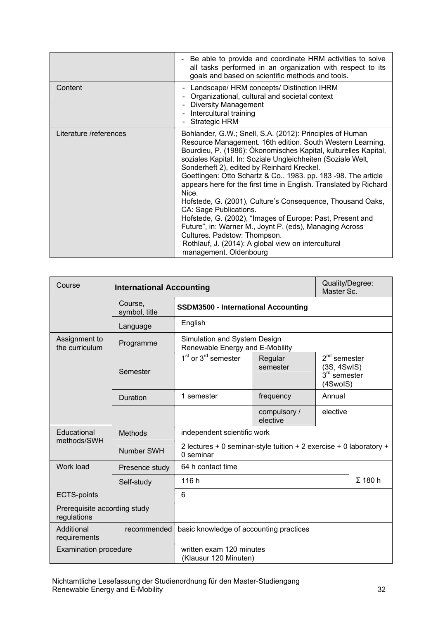|                        | - Be able to provide and coordinate HRM activities to solve<br>all tasks performed in an organization with respect to its<br>goals and based on scientific methods and tools.                                                                                                                                                                                                                                                                                                                                                                                                                                                                                                                                                                                                         |
|------------------------|---------------------------------------------------------------------------------------------------------------------------------------------------------------------------------------------------------------------------------------------------------------------------------------------------------------------------------------------------------------------------------------------------------------------------------------------------------------------------------------------------------------------------------------------------------------------------------------------------------------------------------------------------------------------------------------------------------------------------------------------------------------------------------------|
| Content                | - Landscape/ HRM concepts/ Distinction IHRM<br>Organizational, cultural and societal context<br><b>Diversity Management</b><br>- Intercultural training<br><b>Strategic HRM</b>                                                                                                                                                                                                                                                                                                                                                                                                                                                                                                                                                                                                       |
| Literature /references | Bohlander, G.W.; Snell, S.A. (2012): Principles of Human<br>Resource Management. 16th edition. South Western Learning.<br>Bourdieu, P. (1986): Ökonomisches Kapital, kulturelles Kapital,<br>soziales Kapital. In: Soziale Ungleichheiten (Soziale Welt,<br>Sonderheft 2), edited by Reinhard Kreckel.<br>Goettingen: Otto Schartz & Co 1983. pp. 183 -98. The article<br>appears here for the first time in English. Translated by Richard<br>Nice.<br>Hofstede, G. (2001), Culture's Consequence, Thousand Oaks,<br>CA: Sage Publications.<br>Hofstede, G. (2002), "Images of Europe: Past, Present and<br>Future", in: Warner M., Joynt P. (eds), Managing Across<br>Cultures. Padstow: Thompson.<br>Rothlauf, J. (2014): A global view on intercultural<br>management. Oldenbourg |

<span id="page-31-0"></span>

| Course                                      | <b>International Accounting</b> |                                                                                 | Quality/Degree:<br>Master Sc.                               |          |                |  |  |  |  |  |
|---------------------------------------------|---------------------------------|---------------------------------------------------------------------------------|-------------------------------------------------------------|----------|----------------|--|--|--|--|--|
|                                             | Course,<br>symbol, title        |                                                                                 | <b>SSDM3500 - International Accounting</b>                  |          |                |  |  |  |  |  |
|                                             | Language                        | English                                                                         |                                                             |          |                |  |  |  |  |  |
| Assignment to<br>the curriculum             | Programme                       | Simulation and System Design<br>Renewable Energy and E-Mobility                 |                                                             |          |                |  |  |  |  |  |
|                                             | Semester                        | $1st$ or $3rd$ semester                                                         | $2nd$ semester<br>(3S, 4SwIS)<br>$3rd$ semester<br>(4SwoIS) |          |                |  |  |  |  |  |
|                                             | Duration                        | 1 semester                                                                      | frequency<br>Annual                                         |          |                |  |  |  |  |  |
|                                             |                                 |                                                                                 | compulsory /<br>elective                                    | elective |                |  |  |  |  |  |
| Educational                                 | <b>Methods</b>                  | independent scientific work                                                     |                                                             |          |                |  |  |  |  |  |
| methods/SWH                                 | <b>Number SWH</b>               | 2 lectures + 0 seminar-style tuition + 2 exercise + 0 laboratory +<br>0 seminar |                                                             |          |                |  |  |  |  |  |
| Work load                                   | Presence study                  | 64 h contact time                                                               |                                                             |          |                |  |  |  |  |  |
|                                             | Self-study                      | 116 h                                                                           |                                                             |          | $\Sigma$ 180 h |  |  |  |  |  |
| <b>ECTS-points</b>                          |                                 | 6                                                                               |                                                             |          |                |  |  |  |  |  |
| Prerequisite according study<br>regulations |                                 |                                                                                 |                                                             |          |                |  |  |  |  |  |
| Additional<br>requirements                  | recommended                     | basic knowledge of accounting practices                                         |                                                             |          |                |  |  |  |  |  |
| <b>Examination procedure</b>                |                                 | written exam 120 minutes<br>(Klausur 120 Minuten)                               |                                                             |          |                |  |  |  |  |  |

Nichtamtliche Lesefassung der Studienordnung für den Master-Studiengang Renewable Energy and E-Mobility 32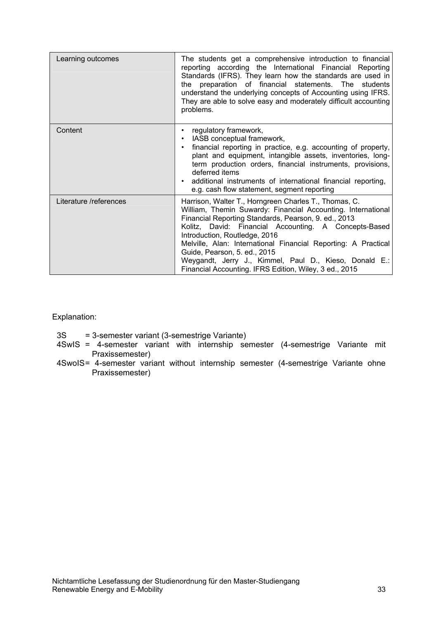| Learning outcomes      | The students get a comprehensive introduction to financial<br>reporting according the International Financial Reporting<br>Standards (IFRS). They learn how the standards are used in<br>preparation of financial statements. The students<br>the<br>understand the underlying concepts of Accounting using IFRS.<br>They are able to solve easy and moderately difficult accounting<br>problems.                                                                                             |
|------------------------|-----------------------------------------------------------------------------------------------------------------------------------------------------------------------------------------------------------------------------------------------------------------------------------------------------------------------------------------------------------------------------------------------------------------------------------------------------------------------------------------------|
| Content                | regulatory framework,<br>IASB conceptual framework,<br>financial reporting in practice, e.g. accounting of property,<br>plant and equipment, intangible assets, inventories, long-<br>term production orders, financial instruments, provisions,<br>deferred items<br>additional instruments of international financial reporting,<br>e.g. cash flow statement, segment reporting                                                                                                             |
| Literature /references | Harrison, Walter T., Horngreen Charles T., Thomas, C.<br>William, Themin Suwardy: Financial Accounting. International<br>Financial Reporting Standards, Pearson, 9. ed., 2013<br>Kolitz, David: Financial Accounting. A Concepts-Based<br>Introduction, Routledge, 2016<br>Melville, Alan: International Financial Reporting: A Practical<br>Guide, Pearson, 5. ed., 2015<br>Weygandt, Jerry J., Kimmel, Paul D., Kieso, Donald E.:<br>Financial Accounting. IFRS Edition, Wiley, 3 ed., 2015 |

Explanation:

- 3S = 3-semester variant (3-semestrige Variante)
- 4SwIS = 4-semester variant with internship semester (4-semestrige Variante mit Praxissemester)
- 4SwoIS= 4-semester variant without internship semester (4-semestrige Variante ohne Praxissemester)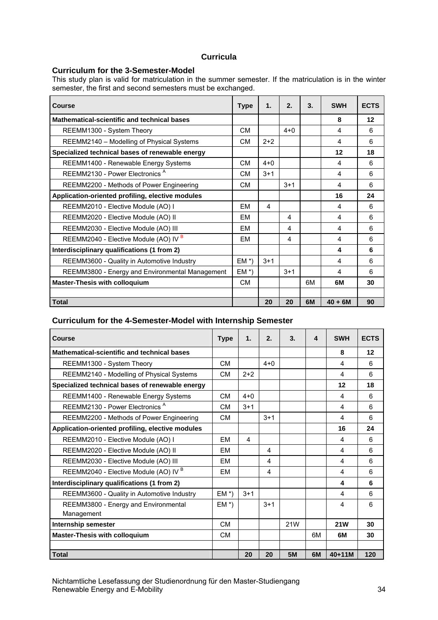### **Curricula**

#### <span id="page-33-1"></span><span id="page-33-0"></span>**Curriculum for the 3-Semester-Model**

This study plan is valid for matriculation in the summer semester. If the matriculation is in the winter semester, the first and second semesters must be exchanged.

| Course                                           | <b>Type</b> | 1.                      | 2.      | 3. | <b>SWH</b> | <b>ECTS</b> |
|--------------------------------------------------|-------------|-------------------------|---------|----|------------|-------------|
| Mathematical-scientific and technical bases      |             |                         |         |    | 8          | 12          |
| REEMM1300 - System Theory                        | CМ          |                         | $4 + 0$ |    | 4          | 6           |
| REEMM2140 - Modelling of Physical Systems        | <b>CM</b>   | $2+2$                   |         |    | 4          | 6           |
| Specialized technical bases of renewable energy  |             |                         |         |    | 12         | 18          |
| REEMM1400 - Renewable Energy Systems             | <b>CM</b>   | $4 + 0$                 |         |    | 4          | 6           |
| REEMM2130 - Power Electronics <sup>A</sup>       | <b>CM</b>   | $3 + 1$                 |         |    | 4          | 6           |
| REEMM2200 - Methods of Power Engineering         | <b>CM</b>   |                         | $3+1$   |    | 4          | 6           |
| Application-oriented profiling, elective modules |             |                         |         |    | 16         | 24          |
| REEMM2010 - Elective Module (AO) I               | FM          | $\overline{\mathbf{4}}$ |         |    | 4          | 6           |
| REEMM2020 - Elective Module (AO) II              | FM          |                         | 4       |    | 4          | 6           |
| REEMM2030 - Elective Module (AO) III             | FM          |                         | 4       |    | 4          | 6           |
| REEMM2040 - Elective Module (AO) IV <sup>B</sup> | FM          |                         | 4       |    | 4          | 6           |
| Interdisciplinary qualifications (1 from 2)      |             |                         |         |    | 4          | 6           |
| REEMM3600 - Quality in Automotive Industry       | $EM^*$      | $3 + 1$                 |         |    | 4          | 6           |
| REEMM3800 - Energy and Environmental Management  | $EM^*$      |                         | $3 + 1$ |    | 4          | 6           |
| <b>Master-Thesis with colloquium</b>             | <b>CM</b>   |                         |         | 6M | 6M         | 30          |
|                                                  |             |                         |         |    |            |             |
| <b>Total</b>                                     |             | 20                      | 20      | 6M | $40 + 6M$  | 90          |

#### **Curriculum for the 4-Semester-Model with Internship Semester**

<span id="page-33-2"></span>

| Course                                             | <b>Type</b> | $\mathbf 1$ . | 2.      | 3.        | 4  | <b>SWH</b> | <b>ECTS</b> |
|----------------------------------------------------|-------------|---------------|---------|-----------|----|------------|-------------|
| Mathematical-scientific and technical bases        |             |               |         |           |    | 8          | 12          |
| REEMM1300 - System Theory                          | <b>CM</b>   |               | $4 + 0$ |           |    | 4          | 6           |
| REEMM2140 - Modelling of Physical Systems          | <b>CM</b>   | $2+2$         |         |           |    | 4          | 6           |
| Specialized technical bases of renewable energy    |             |               |         |           |    | 12         | 18          |
| REEMM1400 - Renewable Energy Systems               | <b>CM</b>   | $4 + 0$       |         |           |    | 4          | 6           |
| REEMM2130 - Power Electronics <sup>A</sup>         | <b>CM</b>   | $3 + 1$       |         |           |    | 4          | 6           |
| REEMM2200 - Methods of Power Engineering           | <b>CM</b>   |               | $3+1$   |           |    | 4          | 6           |
| Application-oriented profiling, elective modules   |             |               |         |           |    | 16         | 24          |
| REEMM2010 - Elective Module (AO) I                 | <b>EM</b>   | 4             |         |           |    | 4          | 6           |
| REEMM2020 - Elective Module (AO) II                | EM          |               | 4       |           |    | 4          | 6           |
| REEMM2030 - Elective Module (AO) III               | EM          |               | 4       |           |    | 4          | 6           |
| REEMM2040 - Elective Module (AO) IV <sup>B</sup>   | EM          |               | 4       |           |    | 4          | 6           |
| Interdisciplinary qualifications (1 from 2)        |             |               |         |           |    | 4          | 6           |
| REEMM3600 - Quality in Automotive Industry         | $EM^*$      | $3+1$         |         |           |    | 4          | 6           |
| REEMM3800 - Energy and Environmental<br>Management | $EM^*$      |               | $3 + 1$ |           |    | 4          | 6           |
| Internship semester                                | CМ          |               |         | 21W       |    | <b>21W</b> | 30          |
| <b>Master-Thesis with colloquium</b>               | <b>CM</b>   |               |         |           | 6M | 6M         | 30          |
|                                                    |             |               |         |           |    |            |             |
| <b>Total</b>                                       |             | 20            | 20      | <b>5M</b> | 6M | $40 + 11M$ | 120         |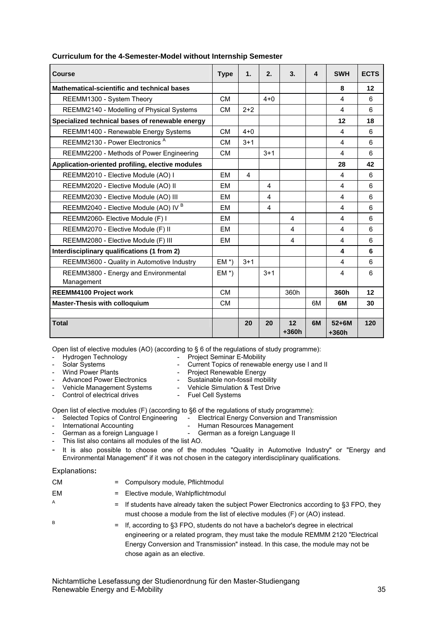<span id="page-34-0"></span>

| <b>Course</b>                                      | <b>Type</b> | 1.             | 2.      | 3.            | $\overline{\mathbf{4}}$ | <b>SWH</b>              | <b>ECTS</b> |
|----------------------------------------------------|-------------|----------------|---------|---------------|-------------------------|-------------------------|-------------|
| <b>Mathematical-scientific and technical bases</b> |             |                |         |               |                         | 8                       | 12          |
| REEMM1300 - System Theory                          | <b>CM</b>   |                | $4 + 0$ |               |                         | 4                       | 6           |
| REEMM2140 - Modelling of Physical Systems          | <b>CM</b>   | $2+2$          |         |               |                         | $\overline{\mathbf{4}}$ | 6           |
| Specialized technical bases of renewable energy    |             |                |         |               |                         | 12                      | 18          |
| REEMM1400 - Renewable Energy Systems               | <b>CM</b>   | $4 + 0$        |         |               |                         | 4                       | 6           |
| REEMM2130 - Power Electronics <sup>A</sup>         | <b>CM</b>   | $3 + 1$        |         |               |                         | 4                       | 6           |
| REEMM2200 - Methods of Power Engineering           | <b>CM</b>   |                | $3 + 1$ |               |                         | $\overline{\mathbf{4}}$ | 6           |
| Application-oriented profiling, elective modules   |             |                |         |               |                         | 28                      | 42          |
| REEMM2010 - Elective Module (AO) I                 | <b>EM</b>   | $\overline{4}$ |         |               |                         | 4                       | 6           |
| REEMM2020 - Elective Module (AO) II                | EM          |                | 4       |               |                         | 4                       | 6           |
| REEMM2030 - Elective Module (AO) III               | EM          |                | 4       |               |                         | 4                       | 6           |
| REEMM2040 - Elective Module (AO) IV <sup>B</sup>   | EM          |                | 4       |               |                         | 4                       | 6           |
| REEMM2060- Elective Module (F) I                   | <b>EM</b>   |                |         | 4             |                         | $\overline{\mathbf{4}}$ | 6           |
| REEMM2070 - Elective Module (F) II                 | EM          |                |         | 4             |                         | 4                       | 6           |
| REEMM2080 - Elective Module (F) III                | <b>EM</b>   |                |         | 4             |                         | $\overline{\mathbf{4}}$ | 6           |
| Interdisciplinary qualifications (1 from 2)        |             |                |         |               |                         | 4                       | 6           |
| REEMM3600 - Quality in Automotive Industry         | $EM^*$      | $3 + 1$        |         |               |                         | $\overline{\mathbf{4}}$ | 6           |
| REEMM3800 - Energy and Environmental<br>Management | $EM^*$      |                | $3 + 1$ |               |                         | $\overline{4}$          | 6           |
| <b>REEMM4100 Project work</b>                      | <b>CM</b>   |                |         | 360h          |                         | 360h                    | 12          |
| <b>Master-Thesis with colloquium</b>               | <b>CM</b>   |                |         |               | 6M                      | 6M                      | 30          |
|                                                    |             |                |         |               |                         |                         |             |
| <b>Total</b>                                       |             | 20             | 20      | 12<br>$+360h$ | 6M                      | $52+6M$<br>$+360h$      | 120         |

#### **Curriculum for the 4-Semester-Model without Internship Semester**

Open list of elective modules (AO) (according to § 6 of the regulations of study programme):

Hydrogen Technology<br>
Solar Systems<br>
Current Topics of renewable<br>
Current Topics of renewable

- Current Topics of renewable energy use I and II
- Wind Power Plants **No. 1. Example 20 You Concrete Avenue** Project Renewable Energy
- Advanced Power Electronics Sustainable non-fossil mobility
	- Vehicle Management Systems Vehicle Simulation & Test Drive<br>Control of electrical drives Fuel Cell Systems Control of electrical drives
		-

Open list of elective modules (F) (according to §6 of the regulations of study programme):<br>
- Selected Topics of Control Engineering - Electrical Energy Conversion and Trans<br>
- International Accounting - Human Resources Ma

- Electrical Energy Conversion and Transmission
- - International Accounting **Fig. 2.1 For Accounting 1999** Human Resources Management German as a foreign Language I - German as a foreign Language II
- This list also contains all modules of the list AO.
- It is also possible to choose one of the modules "Quality in Automotive Industry" or "Energy and Environmental Management" if it was not chosen in the category interdisciplinary qualifications.

#### Explanations**:**

| = Compulsory module, Pflichtmodul                                                                                                                                                                                                                             |
|---------------------------------------------------------------------------------------------------------------------------------------------------------------------------------------------------------------------------------------------------------------|
| Elective module, Wahlpflichtmodul<br>$=$                                                                                                                                                                                                                      |
| $=$ If students have already taken the subject Power Electronics according to §3 FPO, they                                                                                                                                                                    |
| must choose a module from the list of elective modules (F) or (AO) instead.                                                                                                                                                                                   |
| $=$ If, according to §3 FPO, students do not have a bachelor's degree in electrical<br>engineering or a related program, they must take the module REMMM 2120 "Electrical<br>Energy Conversion and Transmission" instead. In this case, the module may not be |
|                                                                                                                                                                                                                                                               |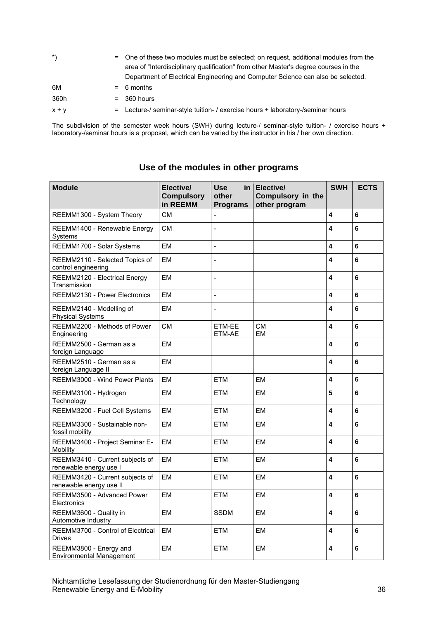| $\cdot$ | = One of these two modules must be selected; on request, additional modules from the<br>area of "Interdisciplinary qualification" from other Master's degree courses in the<br>Department of Electrical Engineering and Computer Science can also be selected. |
|---------|----------------------------------------------------------------------------------------------------------------------------------------------------------------------------------------------------------------------------------------------------------------|
| 6M      | $= 6$ months                                                                                                                                                                                                                                                   |
| 360h    | $= 360$ hours                                                                                                                                                                                                                                                  |
| $x + y$ | = Lecture-/ seminar-style tuition- / exercise hours + laboratory-/seminar hours                                                                                                                                                                                |

The subdivision of the semester week hours (SWH) during lecture-/ seminar-style tuition- / exercise hours + laboratory-/seminar hours is a proposal, which can be varied by the instructor in his / her own direction.

#### <span id="page-35-0"></span>**Module Elective/ Compulsory in REEMM Use in other Programs Elective/ Compulsory in the other program SWH ECTS**  REEMM1300 - System Theory CM - **4 6**  REEMM1400 - Renewable Energy Systems CM - **4 6**  REEMM1700 - Solar Systems  $\begin{vmatrix} 1 & 1 \\ 1 & 1 \end{vmatrix}$  **A**  $\begin{vmatrix} 4 & 6 \\ 6 & 1 \end{vmatrix}$ REEMM2110 - Selected Topics of control engineering EM - **4 6**  REEMM2120 - Electrical Energy Transmission EM - **4 6**  REEMM2130 - Power Electronics EM - **4 6**  REEMM2140 - Modelling of Physical Systems EM - **4 6**  REEMM2200 - Methods of Power Engineering CM **ETM-EE** ETM-AE CM EM **4 6**  REEMM2500 - German as a foreign Language EM **4 6**  REEMM2510 - German as a foreign Language II EM **4 6**  REEMM3000 - Wind Power Plants EM **ETM** ETM EM 4 6 REEMM3100 - Hydrogen **Technology** EM ETM EM **5 6**  REEMM3200 - Fuel Cell Systems LEM LETM LEM **EM** 4 6 REEMM3300 - Sustainable nonfossil mobility EM ETM EM **4 6**  REEMM3400 - Project Seminar E-Mobility EM ETM EM **4 6**  REEMM3410 - Current subjects of renewable energy use I EM ETM EM **4 6**  REEMM3420 - Current subjects of renewable energy use II EM ETM EM **4 6**  REEMM3500 - Advanced Power **Electronics** EM ETM EM **4 6**  REEMM3600 - Quality in Automotive Industry EM SSDM EM **4 6**  REEMM3700 - Control of Electrical Drives EM ETM EM **4 6**  REEMM3800 - Energy and Environmental Management EM ETM EM **4 6**

#### **Use of the modules in other programs**